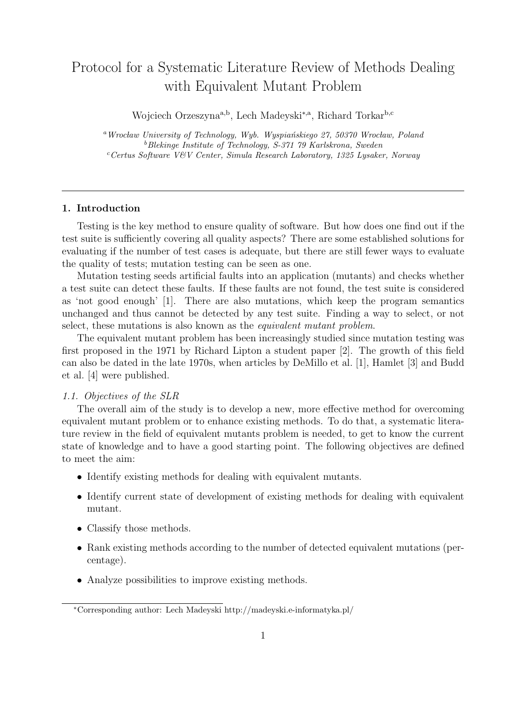# Protocol for a Systematic Literature Review of Methods Dealing with Equivalent Mutant Problem

Wojciech Orzeszyna<sup>a,b</sup>, Lech Madeyski<sup>\*,a</sup>, Richard Torkar<sup>b,c</sup>

<sup>a</sup>Wrocław University of Technology, Wyb. Wyspiańskiego 27, 50370 Wrocław, Poland <sup>b</sup>Blekinge Institute of Technology, S-371 79 Karlskrona, Sweden <sup>c</sup>Certus Software V&V Center, Simula Research Laboratory, 1325 Lysaker, Norway

# 1. Introduction

Testing is the key method to ensure quality of software. But how does one find out if the test suite is sufficiently covering all quality aspects? There are some established solutions for evaluating if the number of test cases is adequate, but there are still fewer ways to evaluate the quality of tests; mutation testing can be seen as one.

Mutation testing seeds artificial faults into an application (mutants) and checks whether a test suite can detect these faults. If these faults are not found, the test suite is considered as 'not good enough' [1]. There are also mutations, which keep the program semantics unchanged and thus cannot be detected by any test suite. Finding a way to select, or not select, these mutations is also known as the *equivalent mutant problem*.

The equivalent mutant problem has been increasingly studied since mutation testing was first proposed in the 1971 by Richard Lipton a student paper [2]. The growth of this field can also be dated in the late 1970s, when articles by DeMillo et al. [1], Hamlet [3] and Budd et al. [4] were published.

# 1.1. Objectives of the SLR

The overall aim of the study is to develop a new, more effective method for overcoming equivalent mutant problem or to enhance existing methods. To do that, a systematic literature review in the field of equivalent mutants problem is needed, to get to know the current state of knowledge and to have a good starting point. The following objectives are defined to meet the aim:

- Identify existing methods for dealing with equivalent mutants.
- Identify current state of development of existing methods for dealing with equivalent mutant.
- Classify those methods.
- Rank existing methods according to the number of detected equivalent mutations (percentage).
- Analyze possibilities to improve existing methods.

<sup>∗</sup>Corresponding author: Lech Madeyski http://madeyski.e-informatyka.pl/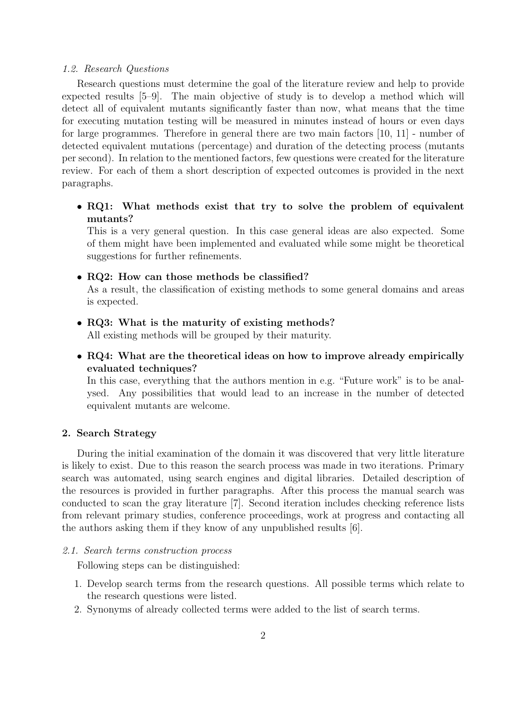#### 1.2. Research Questions

Research questions must determine the goal of the literature review and help to provide expected results [5–9]. The main objective of study is to develop a method which will detect all of equivalent mutants significantly faster than now, what means that the time for executing mutation testing will be measured in minutes instead of hours or even days for large programmes. Therefore in general there are two main factors [10, 11] - number of detected equivalent mutations (percentage) and duration of the detecting process (mutants per second). In relation to the mentioned factors, few questions were created for the literature review. For each of them a short description of expected outcomes is provided in the next paragraphs.

• RQ1: What methods exist that try to solve the problem of equivalent mutants?

This is a very general question. In this case general ideas are also expected. Some of them might have been implemented and evaluated while some might be theoretical suggestions for further refinements.

# • RQ2: How can those methods be classified?

As a result, the classification of existing methods to some general domains and areas is expected.

• RQ3: What is the maturity of existing methods?

All existing methods will be grouped by their maturity.

• RQ4: What are the theoretical ideas on how to improve already empirically evaluated techniques?

In this case, everything that the authors mention in e.g. "Future work" is to be analysed. Any possibilities that would lead to an increase in the number of detected equivalent mutants are welcome.

# 2. Search Strategy

During the initial examination of the domain it was discovered that very little literature is likely to exist. Due to this reason the search process was made in two iterations. Primary search was automated, using search engines and digital libraries. Detailed description of the resources is provided in further paragraphs. After this process the manual search was conducted to scan the gray literature [7]. Second iteration includes checking reference lists from relevant primary studies, conference proceedings, work at progress and contacting all the authors asking them if they know of any unpublished results [6].

# 2.1. Search terms construction process

Following steps can be distinguished:

- 1. Develop search terms from the research questions. All possible terms which relate to the research questions were listed.
- 2. Synonyms of already collected terms were added to the list of search terms.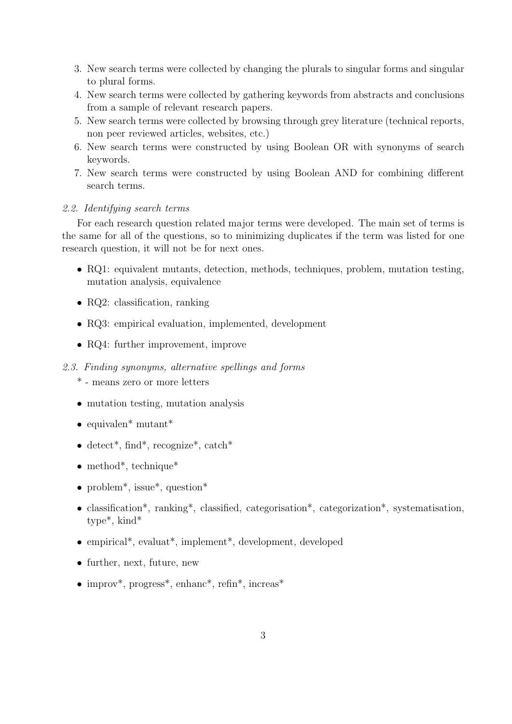- 3. New search terms were collected by changing the plurals to singular forms and singular to plural forms.
- 4. New search terms were collected by gathering keywords from abstracts and conclusions from a sample of relevant research papers.
- 5. New search terms were collected by browsing through grey literature (technical reports, non peer reviewed articles, websites, etc.)
- 6. New search terms were constructed by using Boolean OR with synonyms of search keywords.
- 7. New search terms were constructed by using Boolean AND for combining different search terms.

# 2.2. Identifying search terms

For each research question related major terms were developed. The main set of terms is the same for all of the questions, so to minimizing duplicates if the term was listed for one research question, it will not be for next ones.

- RQ1: equivalent mutants, detection, methods, techniques, problem, mutation testing, mutation analysis, equivalence
- RQ2: classification, ranking
- RQ3: empirical evaluation, implemented, development
- RQ4: further improvement, improve
- 2.3. Finding synonyms, alternative spellings and forms
	- \* means zero or more letters
	- mutation testing, mutation analysis
	- equivalen\* mutant\*
	- detect<sup>\*</sup>, find<sup>\*</sup>, recognize<sup>\*</sup>, catch<sup>\*</sup>
	- method<sup>\*</sup>, technique<sup>\*</sup>
	- problem<sup>\*</sup>, issue<sup>\*</sup>, question<sup>\*</sup>
	- classification\*, ranking\*, classified, categorisation\*, categorization\*, systematisation, type\*, kind\*
	- empirical\*, evaluat\*, implement\*, development, developed
	- further, next, future, new
	- improv<sup>\*</sup>, progress<sup>\*</sup>, enhanc<sup>\*</sup>, refin<sup>\*</sup>, increas<sup>\*</sup>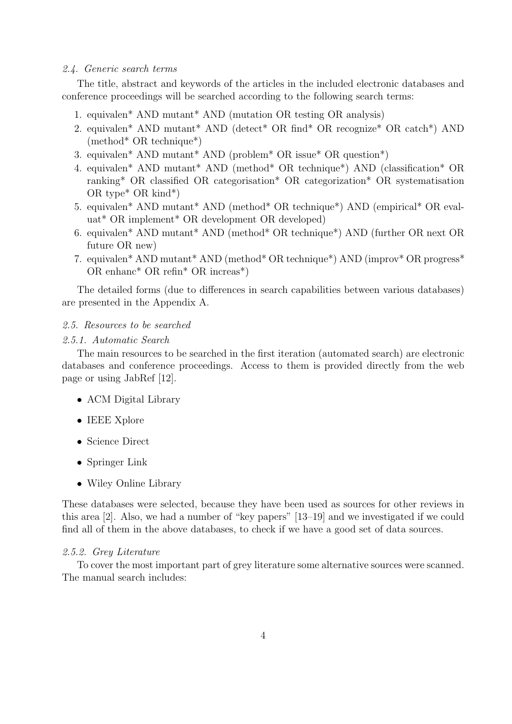#### 2.4. Generic search terms

The title, abstract and keywords of the articles in the included electronic databases and conference proceedings will be searched according to the following search terms:

- 1. equivalen\* AND mutant\* AND (mutation OR testing OR analysis)
- 2. equivalen\* AND mutant\* AND (detect\* OR find\* OR recognize\* OR catch\*) AND (method\* OR technique\*)
- 3. equivalen\* AND mutant\* AND (problem\* OR issue\* OR question\*)
- 4. equivalen\* AND mutant\* AND (method\* OR technique\*) AND (classification\* OR ranking\* OR classified OR categorisation\* OR categorization\* OR systematisation OR type\* OR kind\*)
- 5. equivalen\* AND mutant\* AND (method\* OR technique\*) AND (empirical\* OR evaluat\* OR implement\* OR development OR developed)
- 6. equivalen\* AND mutant\* AND (method\* OR technique\*) AND (further OR next OR future OR new)
- 7. equivalen\* AND mutant\* AND (method\* OR technique\*) AND (improv\* OR progress\* OR enhanc\* OR refin\* OR increas\*)

The detailed forms (due to differences in search capabilities between various databases) are presented in the Appendix A.

#### 2.5. Resources to be searched

# 2.5.1. Automatic Search

The main resources to be searched in the first iteration (automated search) are electronic databases and conference proceedings. Access to them is provided directly from the web page or using JabRef [12].

- ACM Digital Library
- IEEE Xplore
- Science Direct
- Springer Link
- Wiley Online Library

These databases were selected, because they have been used as sources for other reviews in this area [2]. Also, we had a number of "key papers" [13–19] and we investigated if we could find all of them in the above databases, to check if we have a good set of data sources.

## 2.5.2. Grey Literature

To cover the most important part of grey literature some alternative sources were scanned. The manual search includes: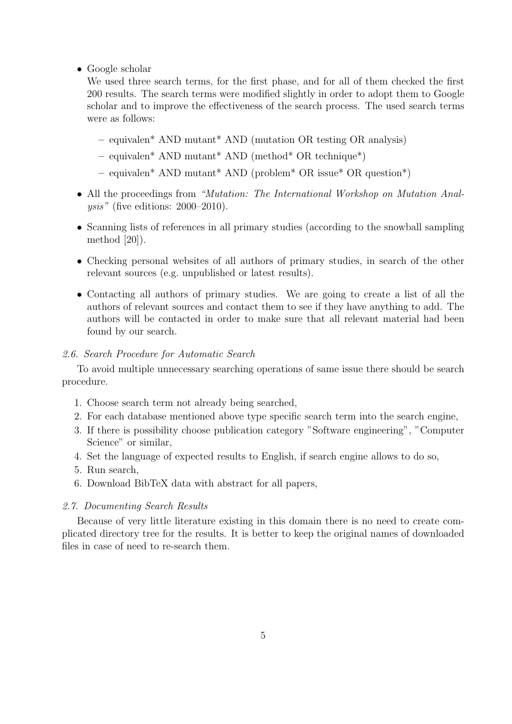• Google scholar

We used three search terms, for the first phase, and for all of them checked the first 200 results. The search terms were modified slightly in order to adopt them to Google scholar and to improve the effectiveness of the search process. The used search terms were as follows:

- equivalen\* AND mutant\* AND (mutation OR testing OR analysis)
- $-$  equivalen<sup>\*</sup> AND mutant<sup>\*</sup> AND (method<sup>\*</sup> OR technique<sup>\*</sup>)
- equivalen\* AND mutant\* AND (problem\* OR issue\* OR question\*)
- All the proceedings from "Mutation: The International Workshop on Mutation Anal $ysis''$  (five editions: 2000–2010).
- Scanning lists of references in all primary studies (according to the snowball sampling method [20]).
- Checking personal websites of all authors of primary studies, in search of the other relevant sources (e.g. unpublished or latest results).
- Contacting all authors of primary studies. We are going to create a list of all the authors of relevant sources and contact them to see if they have anything to add. The authors will be contacted in order to make sure that all relevant material had been found by our search.

# 2.6. Search Procedure for Automatic Search

To avoid multiple unnecessary searching operations of same issue there should be search procedure.

- 1. Choose search term not already being searched,
- 2. For each database mentioned above type specific search term into the search engine,
- 3. If there is possibility choose publication category "Software engineering", "Computer Science" or similar,
- 4. Set the language of expected results to English, if search engine allows to do so,
- 5. Run search,
- 6. Download BibTeX data with abstract for all papers,

#### 2.7. Documenting Search Results

Because of very little literature existing in this domain there is no need to create complicated directory tree for the results. It is better to keep the original names of downloaded files in case of need to re-search them.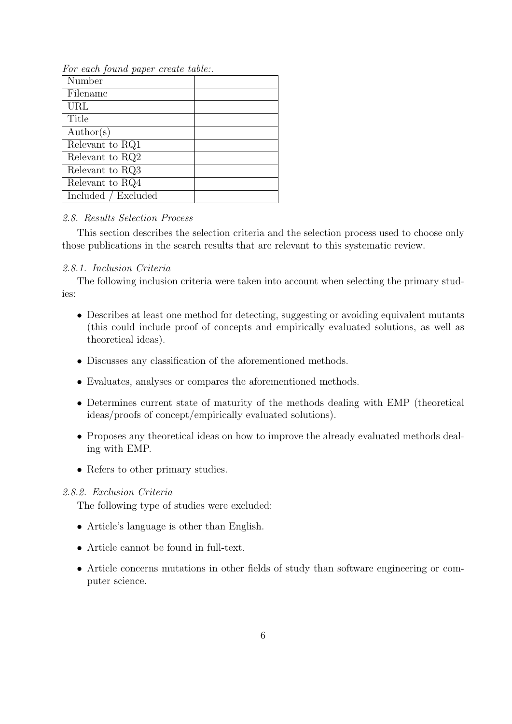| <i>r r r</i>        |  |
|---------------------|--|
| Number              |  |
| Filename            |  |
| URL                 |  |
| Title               |  |
| $\text{Author}(s)$  |  |
| Relevant to RQ1     |  |
| Relevant to RQ2     |  |
| Relevant to RQ3     |  |
| Relevant to RQ4     |  |
| Included / Excluded |  |

For each found paper create table:.

# 2.8. Results Selection Process

This section describes the selection criteria and the selection process used to choose only those publications in the search results that are relevant to this systematic review.

# 2.8.1. Inclusion Criteria

The following inclusion criteria were taken into account when selecting the primary studies:

- Describes at least one method for detecting, suggesting or avoiding equivalent mutants (this could include proof of concepts and empirically evaluated solutions, as well as theoretical ideas).
- Discusses any classification of the aforementioned methods.
- Evaluates, analyses or compares the aforementioned methods.
- Determines current state of maturity of the methods dealing with EMP (theoretical ideas/proofs of concept/empirically evaluated solutions).
- Proposes any theoretical ideas on how to improve the already evaluated methods dealing with EMP.
- Refers to other primary studies.

# 2.8.2. Exclusion Criteria

The following type of studies were excluded:

- Article's language is other than English.
- Article cannot be found in full-text.
- Article concerns mutations in other fields of study than software engineering or computer science.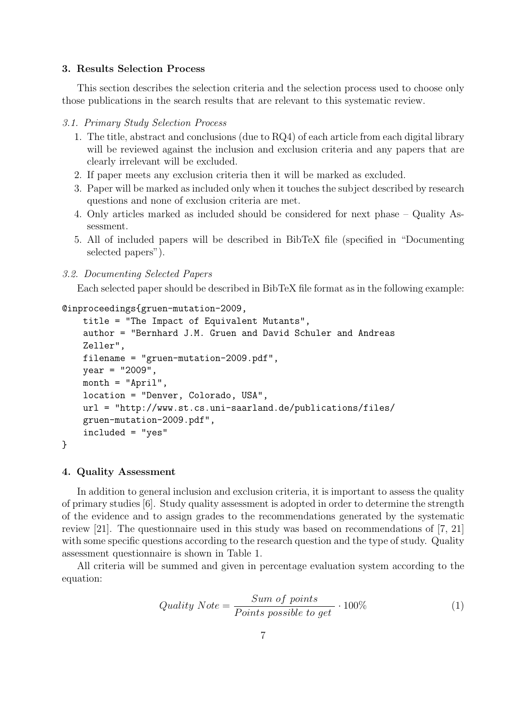# 3. Results Selection Process

This section describes the selection criteria and the selection process used to choose only those publications in the search results that are relevant to this systematic review.

### 3.1. Primary Study Selection Process

- 1. The title, abstract and conclusions (due to RQ4) of each article from each digital library will be reviewed against the inclusion and exclusion criteria and any papers that are clearly irrelevant will be excluded.
- 2. If paper meets any exclusion criteria then it will be marked as excluded.
- 3. Paper will be marked as included only when it touches the subject described by research questions and none of exclusion criteria are met.
- 4. Only articles marked as included should be considered for next phase Quality Assessment.
- 5. All of included papers will be described in BibTeX file (specified in "Documenting selected papers").

#### 3.2. Documenting Selected Papers

Each selected paper should be described in BibTeX file format as in the following example:

# @inproceedings{gruen-mutation-2009,

```
title = "The Impact of Equivalent Mutants",
author = "Bernhard J.M. Gruen and David Schuler and Andreas
Zeller",
filename = "gruen-mutation-2009.pdf",
year = "2009",
month = "April",location = "Denver, Colorado, USA",
url = "http://www.st.cs.uni-saarland.de/publications/files/
gruen-mutation-2009.pdf",
included = "yes"
```
#### 4. Quality Assessment

}

In addition to general inclusion and exclusion criteria, it is important to assess the quality of primary studies [6]. Study quality assessment is adopted in order to determine the strength of the evidence and to assign grades to the recommendations generated by the systematic review [21]. The questionnaire used in this study was based on recommendations of [7, 21] with some specific questions according to the research question and the type of study. Quality assessment questionnaire is shown in Table 1.

All criteria will be summed and given in percentage evaluation system according to the equation:

$$
Quality Note = \frac{Sum\ of\ points}{Points\ possible\ to\ get} \cdot 100\%
$$
 (1)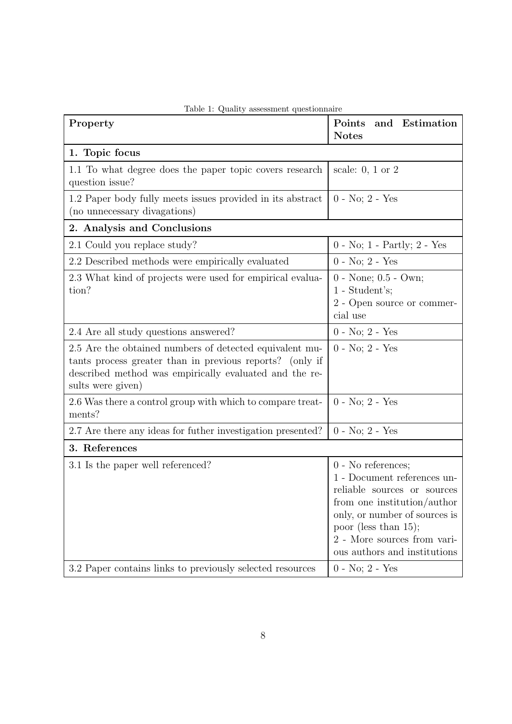| Property                                                                                                                                                                                           | Points<br>and Estimation<br><b>Notes</b>                                                                                                                                                                                                   |  |  |
|----------------------------------------------------------------------------------------------------------------------------------------------------------------------------------------------------|--------------------------------------------------------------------------------------------------------------------------------------------------------------------------------------------------------------------------------------------|--|--|
| 1. Topic focus                                                                                                                                                                                     |                                                                                                                                                                                                                                            |  |  |
| 1.1 To what degree does the paper topic covers research<br>question issue?                                                                                                                         | scale: $0, 1$ or $2$                                                                                                                                                                                                                       |  |  |
| 1.2 Paper body fully meets issues provided in its abstract<br>(no unnecessary divagations)                                                                                                         | $0 - No$ ; $2 - Yes$                                                                                                                                                                                                                       |  |  |
| 2. Analysis and Conclusions                                                                                                                                                                        |                                                                                                                                                                                                                                            |  |  |
| 2.1 Could you replace study?                                                                                                                                                                       | $0$ - No; 1 - Partly; 2 - Yes                                                                                                                                                                                                              |  |  |
| 2.2 Described methods were empirically evaluated                                                                                                                                                   | $0 - No; 2 - Yes$                                                                                                                                                                                                                          |  |  |
| 2.3 What kind of projects were used for empirical evalua-<br>tion?                                                                                                                                 | $0$ - None; $0.5$ - Own;<br>$1 - Student's;$<br>2 - Open source or commer-<br>cial use                                                                                                                                                     |  |  |
| 2.4 Are all study questions answered?                                                                                                                                                              | $0 - No; 2 - Yes$                                                                                                                                                                                                                          |  |  |
| 2.5 Are the obtained numbers of detected equivalent mu-<br>tants process greater than in previous reports? (only if<br>described method was empirically evaluated and the re-<br>sults were given) | $0 - No$ ; $2 - Yes$                                                                                                                                                                                                                       |  |  |
| 2.6 Was there a control group with which to compare treat-<br>ments?                                                                                                                               | $0 - No; 2 - Yes$                                                                                                                                                                                                                          |  |  |
| 2.7 Are there any ideas for futher investigation presented?                                                                                                                                        | $0 - No; 2 - Yes$                                                                                                                                                                                                                          |  |  |
| 3. References                                                                                                                                                                                      |                                                                                                                                                                                                                                            |  |  |
| 3.1 Is the paper well referenced?                                                                                                                                                                  | 0 - No references;<br>1 - Document references un-<br>reliable sources or sources<br>from one institution/author<br>only, or number of sources is<br>poor (less than $15$ );<br>2 - More sources from vari-<br>ous authors and institutions |  |  |
| 3.2 Paper contains links to previously selected resources                                                                                                                                          | $0 - No; 2 - Yes$                                                                                                                                                                                                                          |  |  |

Table 1: Quality assessment questionnaire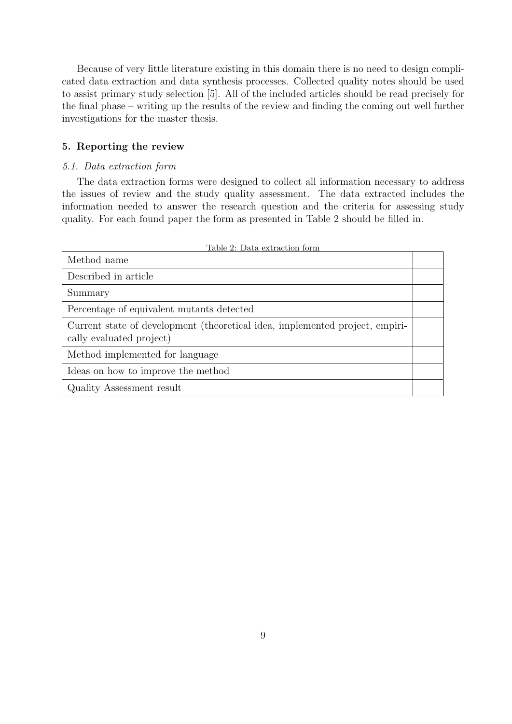Because of very little literature existing in this domain there is no need to design complicated data extraction and data synthesis processes. Collected quality notes should be used to assist primary study selection [5]. All of the included articles should be read precisely for the final phase – writing up the results of the review and finding the coming out well further investigations for the master thesis.

# 5. Reporting the review

# 5.1. Data extraction form

The data extraction forms were designed to collect all information necessary to address the issues of review and the study quality assessment. The data extracted includes the information needed to answer the research question and the criteria for assessing study quality. For each found paper the form as presented in Table 2 should be filled in.

| Method name                                                                                              |  |
|----------------------------------------------------------------------------------------------------------|--|
| Described in article                                                                                     |  |
| Summary                                                                                                  |  |
| Percentage of equivalent mutants detected                                                                |  |
| Current state of development (theoretical idea, implemented project, empiri-<br>cally evaluated project) |  |
| Method implemented for language                                                                          |  |
| Ideas on how to improve the method                                                                       |  |
| Quality Assessment result                                                                                |  |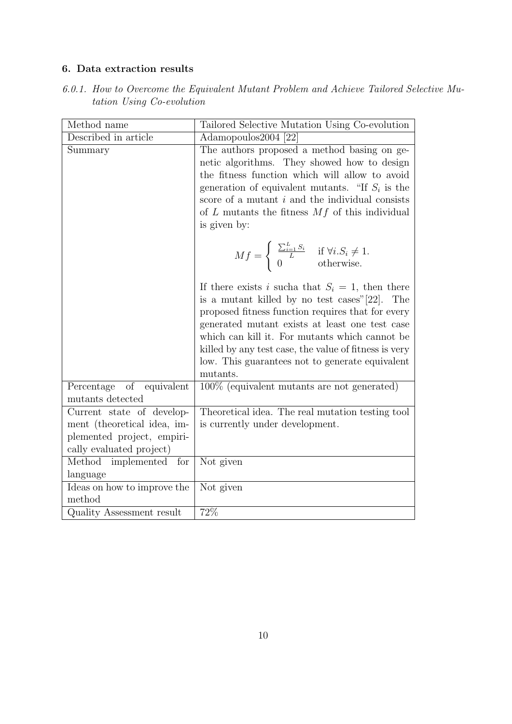# 6. Data extraction results

| 6.0.1. How to Overcome the Equivalent Mutant Problem and Achieve Tailored Selective Mu- |  |  |  |
|-----------------------------------------------------------------------------------------|--|--|--|
| tation Using Co-evolution                                                               |  |  |  |

| Method name                                                                                                        | Tailored Selective Mutation Using Co-evolution                                                                                                                                                                                                                                                                                                                                              |
|--------------------------------------------------------------------------------------------------------------------|---------------------------------------------------------------------------------------------------------------------------------------------------------------------------------------------------------------------------------------------------------------------------------------------------------------------------------------------------------------------------------------------|
| Described in article                                                                                               | Adamopoulos2004 [22]                                                                                                                                                                                                                                                                                                                                                                        |
| Summary                                                                                                            | The authors proposed a method basing on ge-<br>netic algorithms. They showed how to design<br>the fitness function which will allow to avoid<br>generation of equivalent mutants. "If $S_i$ is the<br>score of a mutant $i$ and the individual consists<br>of $L$ mutants the fitness $Mf$ of this individual<br>is given by:                                                               |
|                                                                                                                    | $Mf = \begin{cases} \frac{\sum_{i=1}^{L} S_i}{L} & \text{if } \forall i.S_i \neq 1. \\ 0 & \text{otherwise.} \end{cases}$                                                                                                                                                                                                                                                                   |
|                                                                                                                    | If there exists i such at that $S_i = 1$ , then there<br>is a mutant killed by no test cases" [22].<br>The<br>proposed fitness function requires that for every<br>generated mutant exists at least one test case<br>which can kill it. For mutants which cannot be<br>killed by any test case, the value of fitness is very<br>low. This guarantees not to generate equivalent<br>mutants. |
| of<br>Percentage<br>equivalent<br>mutants detected                                                                 | $100\%$ (equivalent mutants are not generated)                                                                                                                                                                                                                                                                                                                                              |
| Current state of develop-<br>ment (theoretical idea, im-<br>plemented project, empiri-<br>cally evaluated project) | Theoretical idea. The real mutation testing tool<br>is currently under development.                                                                                                                                                                                                                                                                                                         |
| Method implemented for<br>language                                                                                 | Not given                                                                                                                                                                                                                                                                                                                                                                                   |
| Ideas on how to improve the<br>method                                                                              | Not given                                                                                                                                                                                                                                                                                                                                                                                   |
| Quality Assessment result                                                                                          | 72%                                                                                                                                                                                                                                                                                                                                                                                         |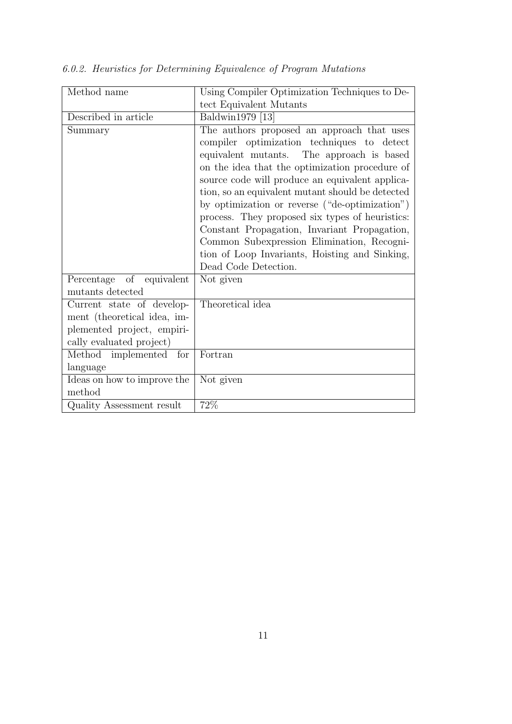| Method name                 | Using Compiler Optimization Techniques to De-    |
|-----------------------------|--------------------------------------------------|
|                             | tect Equivalent Mutants                          |
| Described in article        | Baldwin1979 [13]                                 |
| Summary                     | The authors proposed an approach that uses       |
|                             | compiler optimization techniques to detect       |
|                             | equivalent mutants. The approach is based        |
|                             | on the idea that the optimization procedure of   |
|                             | source code will produce an equivalent applica-  |
|                             | tion, so an equivalent mutant should be detected |
|                             | by optimization or reverse ("de-optimization")   |
|                             | process. They proposed six types of heuristics:  |
|                             | Constant Propagation, Invariant Propagation,     |
|                             | Common Subexpression Elimination, Recogni-       |
|                             | tion of Loop Invariants, Hoisting and Sinking,   |
|                             | Dead Code Detection.                             |
| Percentage of equivalent    | Not given                                        |
| mutants detected            |                                                  |
| Current state of develop-   | Theoretical idea                                 |
| ment (theoretical idea, im- |                                                  |
| plemented project, empiri-  |                                                  |
| cally evaluated project)    |                                                  |
| Method implemented for      | Fortran                                          |
| language                    |                                                  |
| Ideas on how to improve the | Not given                                        |
| method                      |                                                  |
| Quality Assessment result   | 72%                                              |

6.0.2. Heuristics for Determining Equivalence of Program Mutations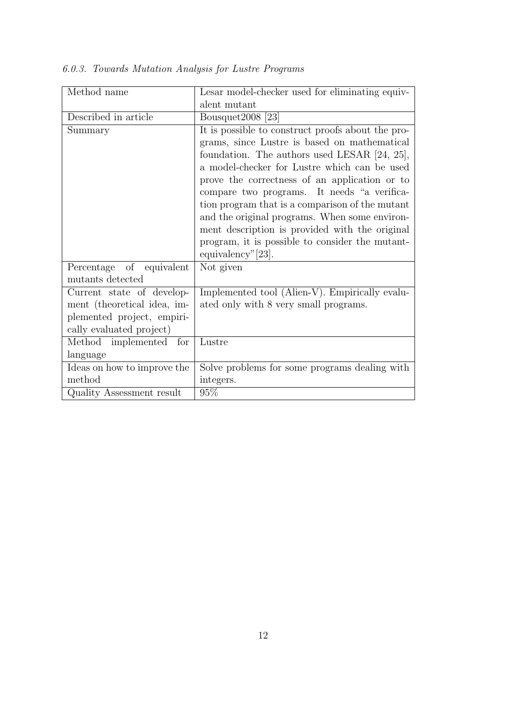| Method name                                  | Lesar model-checker used for eliminating equiv-                                                                                                                                                                                                                                                                                                                                                                                                                                                                                 |
|----------------------------------------------|---------------------------------------------------------------------------------------------------------------------------------------------------------------------------------------------------------------------------------------------------------------------------------------------------------------------------------------------------------------------------------------------------------------------------------------------------------------------------------------------------------------------------------|
|                                              | alent mutant                                                                                                                                                                                                                                                                                                                                                                                                                                                                                                                    |
| Described in article                         | Bousquet $2008$ [23]                                                                                                                                                                                                                                                                                                                                                                                                                                                                                                            |
| Summary                                      | It is possible to construct proofs about the pro-<br>grams, since Lustre is based on mathematical<br>foundation. The authors used LESAR [24, 25],<br>a model-checker for Lustre which can be used<br>prove the correctness of an application or to<br>compare two programs. It needs "a verifica-<br>tion program that is a comparison of the mutant<br>and the original programs. When some environ-<br>ment description is provided with the original<br>program, it is possible to consider the mutant-<br>equivalency"[23]. |
| Percentage of equivalent<br>mutants detected | Not given                                                                                                                                                                                                                                                                                                                                                                                                                                                                                                                       |
| Current state of develop-                    | Implemented tool (Alien-V). Empirically evalu-                                                                                                                                                                                                                                                                                                                                                                                                                                                                                  |
| ment (theoretical idea, im-                  | ated only with 8 very small programs.                                                                                                                                                                                                                                                                                                                                                                                                                                                                                           |
| plemented project, empiri-                   |                                                                                                                                                                                                                                                                                                                                                                                                                                                                                                                                 |
| cally evaluated project)                     |                                                                                                                                                                                                                                                                                                                                                                                                                                                                                                                                 |
| Method implemented<br>for                    | Lustre                                                                                                                                                                                                                                                                                                                                                                                                                                                                                                                          |
| language                                     |                                                                                                                                                                                                                                                                                                                                                                                                                                                                                                                                 |
| Ideas on how to improve the                  | Solve problems for some programs dealing with                                                                                                                                                                                                                                                                                                                                                                                                                                                                                   |
| method                                       | integers.                                                                                                                                                                                                                                                                                                                                                                                                                                                                                                                       |
| Quality Assessment result                    | 95%                                                                                                                                                                                                                                                                                                                                                                                                                                                                                                                             |

6.0.3. Towards Mutation Analysis for Lustre Programs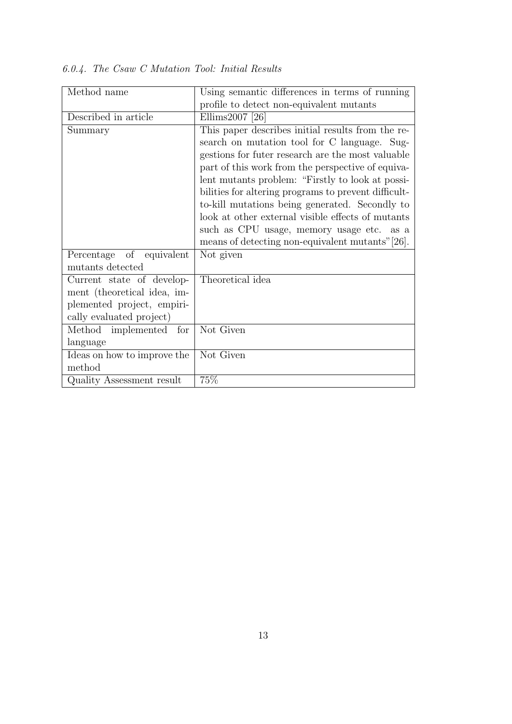| Method name                                                                                                        | Using semantic differences in terms of running                                                                                                                                                                                                                                                                                                                                                                                                                                                                                  |
|--------------------------------------------------------------------------------------------------------------------|---------------------------------------------------------------------------------------------------------------------------------------------------------------------------------------------------------------------------------------------------------------------------------------------------------------------------------------------------------------------------------------------------------------------------------------------------------------------------------------------------------------------------------|
|                                                                                                                    | profile to detect non-equivalent mutants                                                                                                                                                                                                                                                                                                                                                                                                                                                                                        |
| Described in article                                                                                               | Ellims2007 [26]                                                                                                                                                                                                                                                                                                                                                                                                                                                                                                                 |
| Summary                                                                                                            | This paper describes initial results from the re-<br>search on mutation tool for C language. Sug-<br>gestions for futer research are the most valuable<br>part of this work from the perspective of equiva-<br>lent mutants problem: "Firstly to look at possi-<br>bilities for altering programs to prevent difficult-<br>to-kill mutations being generated. Secondly to<br>look at other external visible effects of mutants<br>such as CPU usage, memory usage etc. as a<br>means of detecting non-equivalent mutants" [26]. |
| Percentage of equivalent<br>mutants detected                                                                       | Not given                                                                                                                                                                                                                                                                                                                                                                                                                                                                                                                       |
| Current state of develop-<br>ment (theoretical idea, im-<br>plemented project, empiri-<br>cally evaluated project) | Theoretical idea                                                                                                                                                                                                                                                                                                                                                                                                                                                                                                                |
| Method implemented for<br>language                                                                                 | Not Given                                                                                                                                                                                                                                                                                                                                                                                                                                                                                                                       |
| Ideas on how to improve the<br>method                                                                              | Not Given                                                                                                                                                                                                                                                                                                                                                                                                                                                                                                                       |
| Quality Assessment result                                                                                          | 75%                                                                                                                                                                                                                                                                                                                                                                                                                                                                                                                             |

6.0.4. The Csaw C Mutation Tool: Initial Results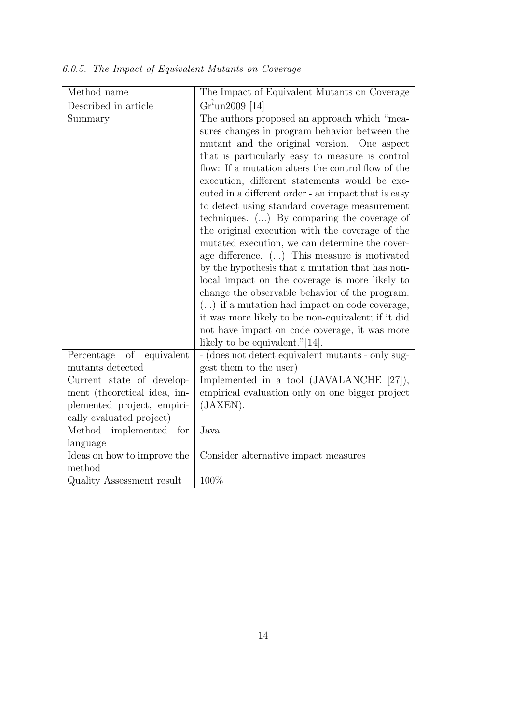| Method name                                                                                                        | The Impact of Equivalent Mutants on Coverage                                                                                                                                                                                                                                                                                                                                                                                                                                                                                                                                                                                                                                                                                                                                                                                                                                                                                                                                      |
|--------------------------------------------------------------------------------------------------------------------|-----------------------------------------------------------------------------------------------------------------------------------------------------------------------------------------------------------------------------------------------------------------------------------------------------------------------------------------------------------------------------------------------------------------------------------------------------------------------------------------------------------------------------------------------------------------------------------------------------------------------------------------------------------------------------------------------------------------------------------------------------------------------------------------------------------------------------------------------------------------------------------------------------------------------------------------------------------------------------------|
| Described in article                                                                                               | $Griun2009$ [14]                                                                                                                                                                                                                                                                                                                                                                                                                                                                                                                                                                                                                                                                                                                                                                                                                                                                                                                                                                  |
| Summary                                                                                                            | The authors proposed an approach which "mea-<br>sures changes in program behavior between the<br>mutant and the original version. One aspect<br>that is particularly easy to measure is control<br>flow: If a mutation alters the control flow of the<br>execution, different statements would be exe-<br>cuted in a different order - an impact that is easy<br>to detect using standard coverage measurement<br>techniques. $(\ldots)$ By comparing the coverage of<br>the original execution with the coverage of the<br>mutated execution, we can determine the cover-<br>age difference. () This measure is motivated<br>by the hypothesis that a mutation that has non-<br>local impact on the coverage is more likely to<br>change the observable behavior of the program.<br>$()$ if a mutation had impact on code coverage,<br>it was more likely to be non-equivalent; if it did<br>not have impact on code coverage, it was more<br>likely to be equivalent." $[14]$ . |
| Percentage<br>of<br>equivalent<br>mutants detected                                                                 | - (does not detect equivalent mutants - only sug-<br>gest them to the user)                                                                                                                                                                                                                                                                                                                                                                                                                                                                                                                                                                                                                                                                                                                                                                                                                                                                                                       |
| Current state of develop-<br>ment (theoretical idea, im-<br>plemented project, empiri-<br>cally evaluated project) | Implemented in a tool (JAVALANCHE [27]),<br>empirical evaluation only on one bigger project<br>(JAXEN).                                                                                                                                                                                                                                                                                                                                                                                                                                                                                                                                                                                                                                                                                                                                                                                                                                                                           |
| Method implemented<br>for<br>language                                                                              | Java                                                                                                                                                                                                                                                                                                                                                                                                                                                                                                                                                                                                                                                                                                                                                                                                                                                                                                                                                                              |
| Ideas on how to improve the<br>method                                                                              | Consider alternative impact measures                                                                                                                                                                                                                                                                                                                                                                                                                                                                                                                                                                                                                                                                                                                                                                                                                                                                                                                                              |
| Quality Assessment result                                                                                          | 100%                                                                                                                                                                                                                                                                                                                                                                                                                                                                                                                                                                                                                                                                                                                                                                                                                                                                                                                                                                              |

6.0.5. The Impact of Equivalent Mutants on Coverage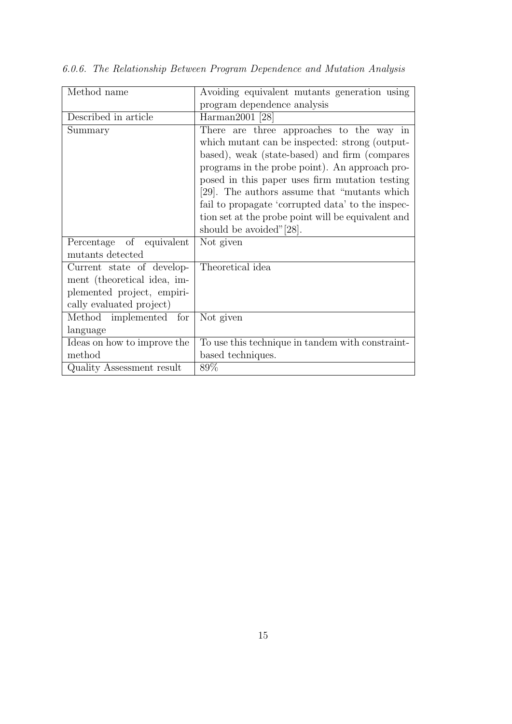| Method name                 | Avoiding equivalent mutants generation using       |
|-----------------------------|----------------------------------------------------|
|                             | program dependence analysis                        |
| Described in article        | Harman2001 [28]                                    |
| Summary                     | There are three approaches to the way in           |
|                             | which mutant can be inspected: strong (output-     |
|                             | based), weak (state-based) and firm (compares      |
|                             | programs in the probe point). An approach pro-     |
|                             | posed in this paper uses firm mutation testing     |
|                             | [29]. The authors assume that "mutants which"      |
|                             | fail to propagate 'corrupted data' to the inspec-  |
|                             | tion set at the probe point will be equivalent and |
|                             | should be avoided"[28].                            |
| Percentage of equivalent    | Not given                                          |
| mutants detected            |                                                    |
| Current state of develop-   | Theoretical idea                                   |
| ment (theoretical idea, im- |                                                    |
| plemented project, empiri-  |                                                    |
| cally evaluated project)    |                                                    |
| Method implemented for      | Not given                                          |
| language                    |                                                    |
| Ideas on how to improve the | To use this technique in tandem with constraint-   |
| method                      | based techniques.                                  |
| Quality Assessment result   | 89\%                                               |

6.0.6. The Relationship Between Program Dependence and Mutation Analysis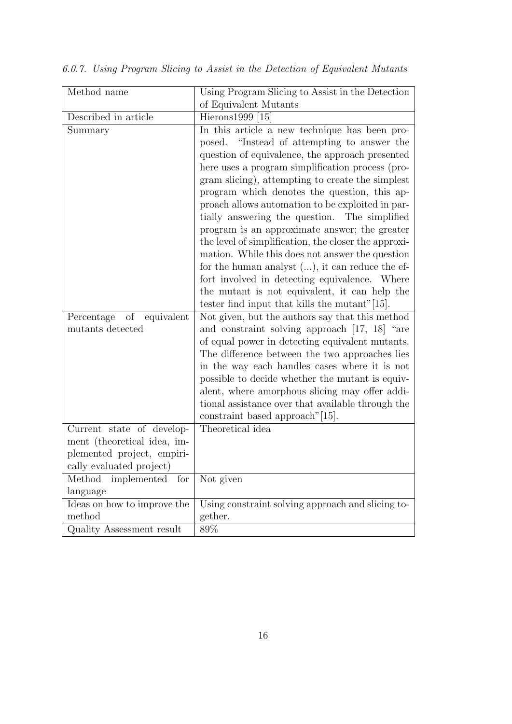| Method name                          | Using Program Slicing to Assist in the Detection                                                    |
|--------------------------------------|-----------------------------------------------------------------------------------------------------|
|                                      | of Equivalent Mutants                                                                               |
| Described in article                 | Hierons1999 [15]                                                                                    |
| Summary                              | In this article a new technique has been pro-<br>"Instead of attempting to answer the<br>posed.     |
|                                      | question of equivalence, the approach presented                                                     |
|                                      | here uses a program simplification process (pro-                                                    |
|                                      | gram slicing), attempting to create the simplest                                                    |
|                                      | program which denotes the question, this ap-                                                        |
|                                      | proach allows automation to be exploited in par-                                                    |
|                                      | tially answering the question.<br>The simplified                                                    |
|                                      | program is an approximate answer; the greater                                                       |
|                                      | the level of simplification, the closer the approxi-                                                |
|                                      | mation. While this does not answer the question                                                     |
|                                      | for the human analyst $()$ , it can reduce the ef-                                                  |
|                                      | fort involved in detecting equivalence. Where                                                       |
|                                      | the mutant is not equivalent, it can help the                                                       |
|                                      | tester find input that kills the mutant"[15].                                                       |
| Percentage<br>$\sigma$<br>equivalent | Not given, but the authors say that this method                                                     |
| mutants detected                     | and constraint solving approach [17, 18] "are                                                       |
|                                      | of equal power in detecting equivalent mutants.                                                     |
|                                      | The difference between the two approaches lies                                                      |
|                                      | in the way each handles cases where it is not                                                       |
|                                      | possible to decide whether the mutant is equiv-                                                     |
|                                      | alent, where amorphous slicing may offer addi-<br>tional assistance over that available through the |
|                                      | constraint based approach" [15].                                                                    |
| Current state of develop-            | Theoretical idea                                                                                    |
| ment (theoretical idea, im-          |                                                                                                     |
| plemented project, empiri-           |                                                                                                     |
| cally evaluated project)             |                                                                                                     |
| Method<br>implemented<br>for         | Not given                                                                                           |
| language                             |                                                                                                     |
| Ideas on how to improve the          | Using constraint solving approach and slicing to-                                                   |
| method                               | gether.                                                                                             |
| Quality Assessment result            | 89%                                                                                                 |

6.0.7. Using Program Slicing to Assist in the Detection of Equivalent Mutants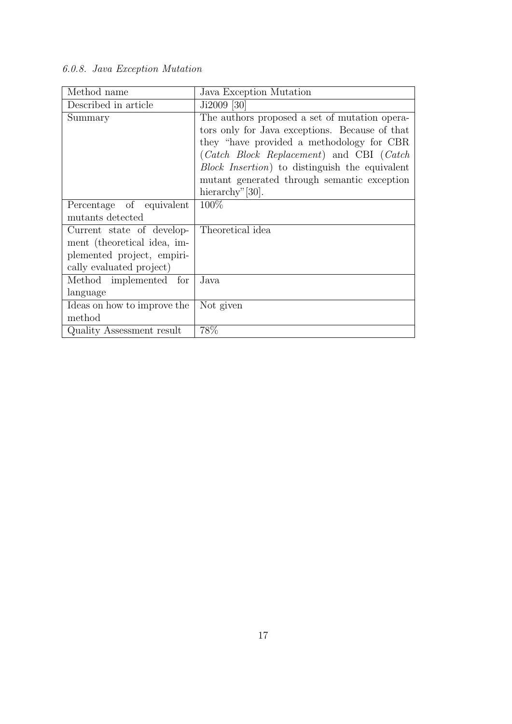# 6.0.8. Java Exception Mutation

| Method name                 | Java Exception Mutation                                |
|-----------------------------|--------------------------------------------------------|
| Described in article        | Ji2009 [30]                                            |
| Summary                     | The authors proposed a set of mutation opera-          |
|                             | tors only for Java exceptions. Because of that         |
|                             | they "have provided a methodology for CBR              |
|                             | (Catch Block Replacement) and CBI (Catch               |
|                             | <i>Block Insertion</i> ) to distinguish the equivalent |
|                             | mutant generated through semantic exception            |
|                             | hierarchy" [30].                                       |
| Percentage of equivalent    | 100\%                                                  |
| mutants detected            |                                                        |
| Current state of develop-   | Theoretical idea                                       |
| ment (theoretical idea, im- |                                                        |
| plemented project, empiri-  |                                                        |
| cally evaluated project)    |                                                        |
| Method implemented for      | Java                                                   |
| language                    |                                                        |
| Ideas on how to improve the | Not given                                              |
| method                      |                                                        |
| Quality Assessment result   | 78%                                                    |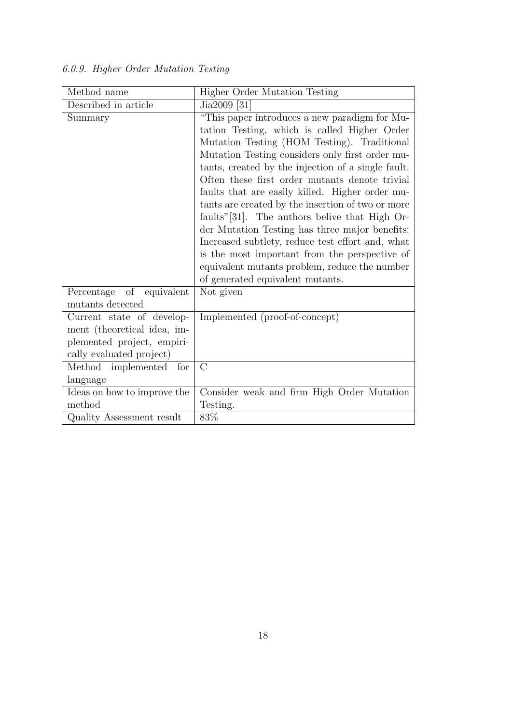|  |  |  | 6.0.9. Higher Order Mutation Testing |  |
|--|--|--|--------------------------------------|--|
|--|--|--|--------------------------------------|--|

| Method name                                                                                                        | <b>Higher Order Mutation Testing</b>                                                                                                                                                                                                                                                                                                                                                                                                                                                                                                                                                                                                                                     |
|--------------------------------------------------------------------------------------------------------------------|--------------------------------------------------------------------------------------------------------------------------------------------------------------------------------------------------------------------------------------------------------------------------------------------------------------------------------------------------------------------------------------------------------------------------------------------------------------------------------------------------------------------------------------------------------------------------------------------------------------------------------------------------------------------------|
| Described in article                                                                                               | Jia2009 [31]                                                                                                                                                                                                                                                                                                                                                                                                                                                                                                                                                                                                                                                             |
| Summary                                                                                                            | "This paper introduces a new paradigm for Mu-<br>tation Testing, which is called Higher Order<br>Mutation Testing (HOM Testing). Traditional<br>Mutation Testing considers only first order mu-<br>tants, created by the injection of a single fault.<br>Often these first order mutants denote trivial<br>faults that are easily killed. Higher order mu-<br>tants are created by the insertion of two or more<br>faults"[31]. The authors belive that High Or-<br>der Mutation Testing has three major benefits:<br>Increased subtlety, reduce test effort and, what<br>is the most important from the perspective of<br>equivalent mutants problem, reduce the number |
| Percentage of<br>equivalent                                                                                        | of generated equivalent mutants.<br>Not given                                                                                                                                                                                                                                                                                                                                                                                                                                                                                                                                                                                                                            |
| mutants detected                                                                                                   |                                                                                                                                                                                                                                                                                                                                                                                                                                                                                                                                                                                                                                                                          |
| Current state of develop-<br>ment (theoretical idea, im-<br>plemented project, empiri-<br>cally evaluated project) | Implemented (proof-of-concept)                                                                                                                                                                                                                                                                                                                                                                                                                                                                                                                                                                                                                                           |
| Method implemented for                                                                                             | $\rm C$                                                                                                                                                                                                                                                                                                                                                                                                                                                                                                                                                                                                                                                                  |
| language                                                                                                           |                                                                                                                                                                                                                                                                                                                                                                                                                                                                                                                                                                                                                                                                          |
| Ideas on how to improve the                                                                                        | Consider weak and firm High Order Mutation                                                                                                                                                                                                                                                                                                                                                                                                                                                                                                                                                                                                                               |
| method                                                                                                             | Testing.                                                                                                                                                                                                                                                                                                                                                                                                                                                                                                                                                                                                                                                                 |
| Quality Assessment result                                                                                          | 83\%                                                                                                                                                                                                                                                                                                                                                                                                                                                                                                                                                                                                                                                                     |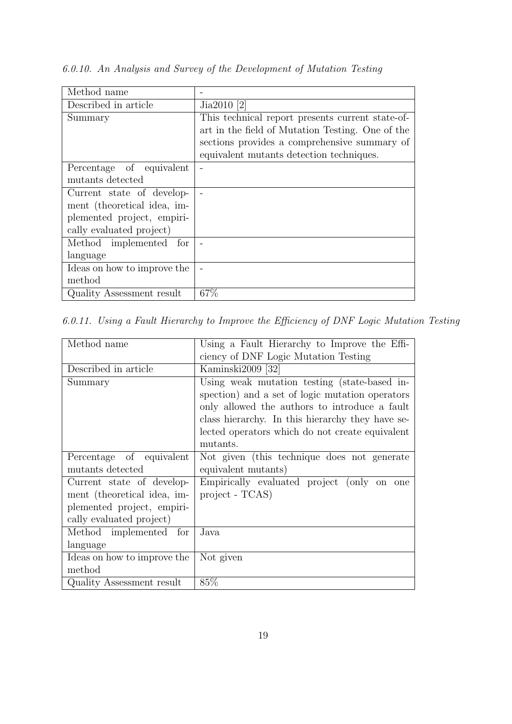| Method name                 |                                                  |
|-----------------------------|--------------------------------------------------|
| Described in article        | Jia2010 [2]                                      |
| Summary                     | This technical report presents current state-of- |
|                             | art in the field of Mutation Testing. One of the |
|                             | sections provides a comprehensive summary of     |
|                             | equivalent mutants detection techniques.         |
| Percentage of equivalent    |                                                  |
| mutants detected            |                                                  |
| Current state of develop-   |                                                  |
| ment (theoretical idea, im- |                                                  |
| plemented project, empiri-  |                                                  |
| cally evaluated project)    |                                                  |
| Method implemented for      |                                                  |
| language                    |                                                  |
| Ideas on how to improve the |                                                  |
| method                      |                                                  |
| Quality Assessment result   | 67%                                              |

6.0.10. An Analysis and Survey of the Development of Mutation Testing

6.0.11. Using a Fault Hierarchy to Improve the Efficiency of DNF Logic Mutation Testing

| Method name                 | Using a Fault Hierarchy to Improve the Effi-     |
|-----------------------------|--------------------------------------------------|
|                             | ciency of DNF Logic Mutation Testing             |
| Described in article        | Kaminski2009 [32]                                |
| Summary                     | Using weak mutation testing (state-based in-     |
|                             | spection) and a set of logic mutation operators  |
|                             | only allowed the authors to introduce a fault    |
|                             | class hierarchy. In this hierarchy they have se- |
|                             | lected operators which do not create equivalent  |
|                             | mutants.                                         |
| Percentage of equivalent    | Not given (this technique does not generate      |
| mutants detected            | equivalent mutants)                              |
| Current state of develop-   | Empirically evaluated project (only on one       |
| ment (theoretical idea, im- | $project - TCAS)$                                |
| plemented project, empiri-  |                                                  |
| cally evaluated project)    |                                                  |
| Method implemented for      | Java.                                            |
| language                    |                                                  |
| Ideas on how to improve the | Not given                                        |
| method                      |                                                  |
| Quality Assessment result   | 85%                                              |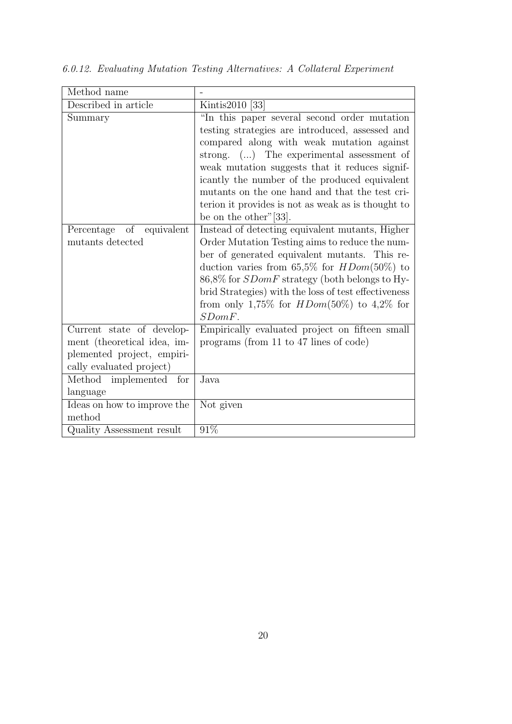| Method name                 |                                                      |
|-----------------------------|------------------------------------------------------|
| Described in article        | Kintis2010 [33]                                      |
| Summary                     | "In this paper several second order mutation"        |
|                             | testing strategies are introduced, assessed and      |
|                             | compared along with weak mutation against            |
|                             | strong. () The experimental assessment of            |
|                             | weak mutation suggests that it reduces signif-       |
|                             | icantly the number of the produced equivalent        |
|                             | mutants on the one hand and that the test cri-       |
|                             | terion it provides is not as weak as is thought to   |
|                             | be on the other" $[33]$ .                            |
| Percentage of equivalent    | Instead of detecting equivalent mutants, Higher      |
| mutants detected            | Order Mutation Testing aims to reduce the num-       |
|                             | ber of generated equivalent mutants. This re-        |
|                             | duction varies from 65,5% for $HDom(50\%)$ to        |
|                             | 86,8% for <i>SDomF</i> strategy (both belongs to Hy- |
|                             | brid Strategies) with the loss of test effectiveness |
|                             | from only 1,75% for $HDom(50\%)$ to 4,2% for         |
|                             | $SDomF$ .                                            |
| Current state of develop-   | Empirically evaluated project on fifteen small       |
| ment (theoretical idea, im- | programs (from 11 to 47 lines of code)               |
| plemented project, empiri-  |                                                      |
| cally evaluated project)    |                                                      |
| Method implemented for      | Java                                                 |
| language                    |                                                      |
| Ideas on how to improve the | Not given                                            |
| method                      |                                                      |
| Quality Assessment result   | 91%                                                  |

6.0.12. Evaluating Mutation Testing Alternatives: A Collateral Experiment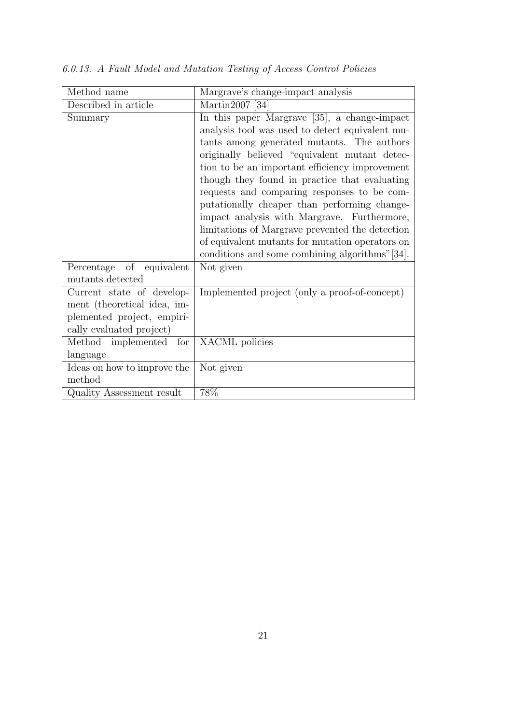| Method name                 | Margrave's change-impact analysis               |
|-----------------------------|-------------------------------------------------|
| Described in article        | Martin2007 [34]                                 |
| Summary                     | In this paper Margrave [35], a change-impact    |
|                             | analysis tool was used to detect equivalent mu- |
|                             | tants among generated mutants. The authors      |
|                             | originally believed "equivalent mutant detec-   |
|                             | tion to be an important efficiency improvement  |
|                             | though they found in practice that evaluating   |
|                             | requests and comparing responses to be com-     |
|                             | putationally cheaper than performing change-    |
|                             | impact analysis with Margrave. Furthermore,     |
|                             | limitations of Margrave prevented the detection |
|                             | of equivalent mutants for mutation operators on |
|                             | conditions and some combining algorithms"[34].  |
| Percentage of equivalent    | Not given                                       |
| mutants detected            |                                                 |
| Current state of develop-   | Implemented project (only a proof-of-concept)   |
| ment (theoretical idea, im- |                                                 |
| plemented project, empiri-  |                                                 |
| cally evaluated project)    |                                                 |
| Method implemented for      | XACML policies                                  |
| language                    |                                                 |
| Ideas on how to improve the | Not given                                       |
| method                      |                                                 |
| Quality Assessment result   | 78%                                             |

6.0.13. A Fault Model and Mutation Testing of Access Control Policies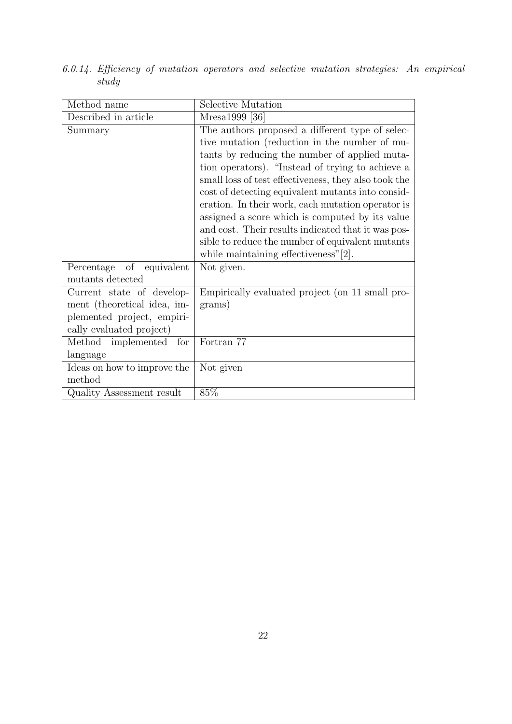| Method name                 | Selective Mutation                                   |
|-----------------------------|------------------------------------------------------|
| Described in article        | Mresa1999 [36]                                       |
| Summary                     | The authors proposed a different type of selec-      |
|                             | tive mutation (reduction in the number of mu-        |
|                             | tants by reducing the number of applied muta-        |
|                             | tion operators). "Instead of trying to achieve a     |
|                             | small loss of test effectiveness, they also took the |
|                             | cost of detecting equivalent mutants into consid-    |
|                             | eration. In their work, each mutation operator is    |
|                             | assigned a score which is computed by its value      |
|                             | and cost. Their results indicated that it was pos-   |
|                             | sible to reduce the number of equivalent mutants     |
|                             | while maintaining effectiveness" $[2]$ .             |
| Percentage of equivalent    | Not given.                                           |
| mutants detected            |                                                      |
| Current state of develop-   | Empirically evaluated project (on 11 small pro-      |
| ment (theoretical idea, im- | grams)                                               |
| plemented project, empiri-  |                                                      |
| cally evaluated project)    |                                                      |
| Method implemented for      | Fortran 77                                           |
| language                    |                                                      |
| Ideas on how to improve the | Not given                                            |
| method                      |                                                      |
| Quality Assessment result   | 85%                                                  |

6.0.14. Efficiency of mutation operators and selective mutation strategies: An empirical study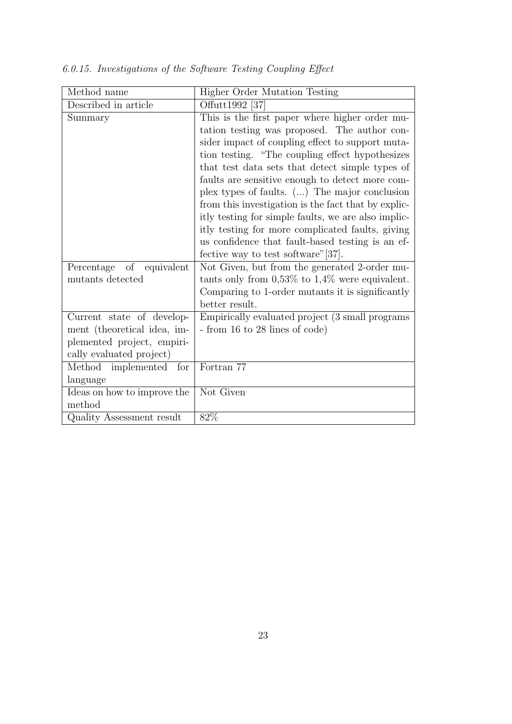| Method name                 | <b>Higher Order Mutation Testing</b>                 |
|-----------------------------|------------------------------------------------------|
| Described in article        | Offutt1992 [37]                                      |
| Summary                     | This is the first paper where higher order mu-       |
|                             | tation testing was proposed. The author con-         |
|                             | sider impact of coupling effect to support muta-     |
|                             | tion testing. "The coupling effect hypothesizes      |
|                             | that test data sets that detect simple types of      |
|                             | faults are sensitive enough to detect more com-      |
|                             | plex types of faults. () The major conclusion        |
|                             | from this investigation is the fact that by explic-  |
|                             | itly testing for simple faults, we are also implic-  |
|                             | itly testing for more complicated faults, giving     |
|                             | us confidence that fault-based testing is an ef-     |
|                             | fective way to test software" [37].                  |
| Percentage of<br>equivalent | Not Given, but from the generated 2-order mu-        |
| mutants detected            | tants only from $0.53\%$ to $1.4\%$ were equivalent. |
|                             | Comparing to 1-order mutants it is significantly     |
|                             | better result.                                       |
| Current state of develop-   | Empirically evaluated project (3 small programs      |
| ment (theoretical idea, im- | - from 16 to 28 lines of code)                       |
| plemented project, empiri-  |                                                      |
| cally evaluated project)    |                                                      |
| Method implemented<br>for   | Fortran 77                                           |
| language                    |                                                      |
| Ideas on how to improve the | Not Given                                            |
| method                      |                                                      |
| Quality Assessment result   | 82%                                                  |

6.0.15. Investigations of the Software Testing Coupling Effect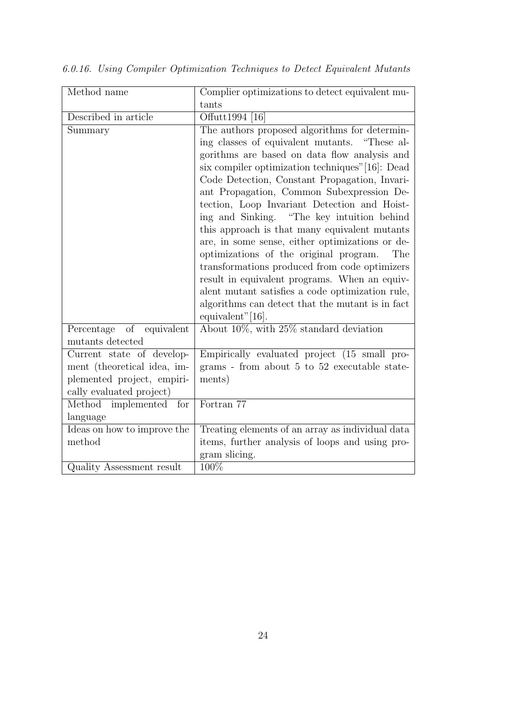| Method name                 | Complier optimizations to detect equivalent mu-  |
|-----------------------------|--------------------------------------------------|
|                             | tants                                            |
| Described in article        | Offutt1994 [16]                                  |
| Summary                     | The authors proposed algorithms for determin-    |
|                             | ing classes of equivalent mutants. "These al-    |
|                             | gorithms are based on data flow analysis and     |
|                             | six compiler optimization techniques" [16]: Dead |
|                             | Code Detection, Constant Propagation, Invari-    |
|                             | ant Propagation, Common Subexpression De-        |
|                             | tection, Loop Invariant Detection and Hoist-     |
|                             | ing and Sinking. "The key intuition behind       |
|                             | this approach is that many equivalent mutants    |
|                             | are, in some sense, either optimizations or de-  |
|                             | optimizations of the original program.<br>The    |
|                             | transformations produced from code optimizers    |
|                             | result in equivalent programs. When an equiv-    |
|                             | alent mutant satisfies a code optimization rule, |
|                             | algorithms can detect that the mutant is in fact |
|                             | equivalent"[16].                                 |
| Percentage of equivalent    | About $10\%$ , with $25\%$ standard deviation    |
| mutants detected            |                                                  |
| Current state of develop-   | Empirically evaluated project (15 small pro-     |
| ment (theoretical idea, im- | grams - from about 5 to 52 executable state-     |
| plemented project, empiri-  | ments)                                           |
| cally evaluated project)    |                                                  |
| Method implemented for      | Fortran 77                                       |
| language                    |                                                  |
| Ideas on how to improve the | Treating elements of an array as individual data |
| method                      | items, further analysis of loops and using pro-  |
|                             | gram slicing.                                    |
| Quality Assessment result   | 100%                                             |

6.0.16. Using Compiler Optimization Techniques to Detect Equivalent Mutants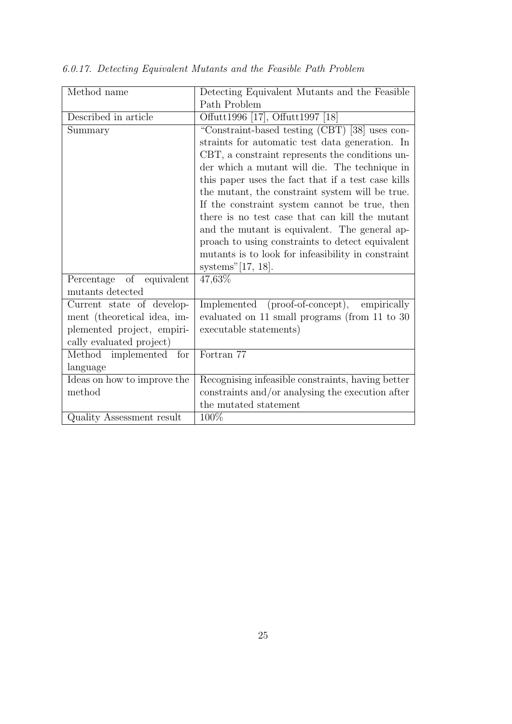| Method name                 | Detecting Equivalent Mutants and the Feasible      |
|-----------------------------|----------------------------------------------------|
|                             | Path Problem                                       |
| Described in article        | Offutt1996 [17], Offutt1997 [18]                   |
| Summary                     | "Constraint-based testing (CBT) [38] uses con-     |
|                             | straints for automatic test data generation. In    |
|                             | CBT, a constraint represents the conditions un-    |
|                             | der which a mutant will die. The technique in      |
|                             | this paper uses the fact that if a test case kills |
|                             | the mutant, the constraint system will be true.    |
|                             | If the constraint system cannot be true, then      |
|                             | there is no test case that can kill the mutant     |
|                             | and the mutant is equivalent. The general ap-      |
|                             | proach to using constraints to detect equivalent   |
|                             | mutants is to look for infeasibility in constraint |
|                             | systems" $[17, 18]$ .                              |
| Percentage of equivalent    | 47,63%                                             |
| mutants detected            |                                                    |
| Current state of develop-   | Implemented (proof-of-concept), empirically        |
| ment (theoretical idea, im- | evaluated on 11 small programs (from 11 to 30      |
| plemented project, empiri-  | executable statements)                             |
| cally evaluated project)    |                                                    |
| Method implemented<br>for   | Fortran 77                                         |
| language                    |                                                    |
| Ideas on how to improve the | Recognising infeasible constraints, having better  |
| method                      | constraints and/or analysing the execution after   |
|                             | the mutated statement                              |
| Quality Assessment result   | 100%                                               |

6.0.17. Detecting Equivalent Mutants and the Feasible Path Problem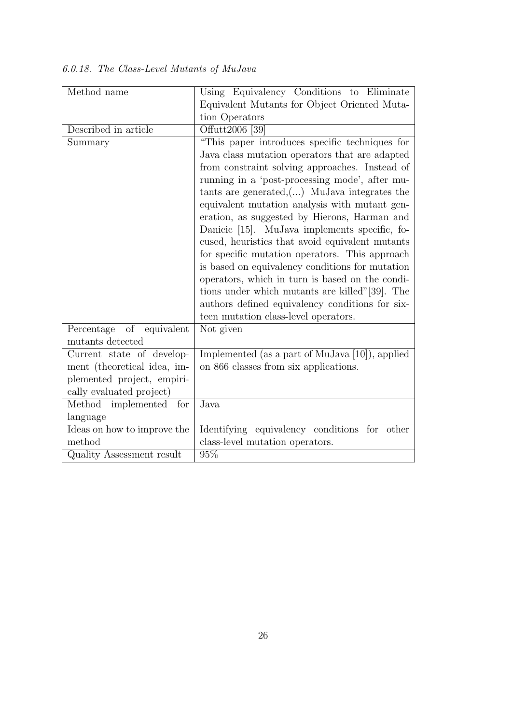| Method name                 | Using Equivalency Conditions to Eliminate          |
|-----------------------------|----------------------------------------------------|
|                             | Equivalent Mutants for Object Oriented Muta-       |
|                             | tion Operators                                     |
| Described in article        | Offutt2006 [39]                                    |
| Summary                     | "This paper introduces specific techniques for     |
|                             | Java class mutation operators that are adapted     |
|                             | from constraint solving approaches. Instead of     |
|                             | running in a 'post-processing mode', after mu-     |
|                             | tants are generated, $\dots$ MuJava integrates the |
|                             | equivalent mutation analysis with mutant gen-      |
|                             | eration, as suggested by Hierons, Harman and       |
|                             | Danicic [15]. MuJava implements specific, fo-      |
|                             | cused, heuristics that avoid equivalent mutants    |
|                             | for specific mutation operators. This approach     |
|                             | is based on equivalency conditions for mutation    |
|                             | operators, which in turn is based on the condi-    |
|                             | tions under which mutants are killed"[39]. The     |
|                             | authors defined equivalency conditions for six-    |
|                             | teen mutation class-level operators.               |
| Percentage of equivalent    | Not given                                          |
| mutants detected            |                                                    |
| Current state of develop-   | Implemented (as a part of MuJava [10]), applied    |
| ment (theoretical idea, im- | on 866 classes from six applications.              |
| plemented project, empiri-  |                                                    |
| cally evaluated project)    |                                                    |
| Method implemented for      | Java                                               |
| language                    |                                                    |
| Ideas on how to improve the | Identifying equivalency conditions for other       |
| method                      | class-level mutation operators.                    |
| Quality Assessment result   | $95\%$                                             |

6.0.18. The Class-Level Mutants of MuJava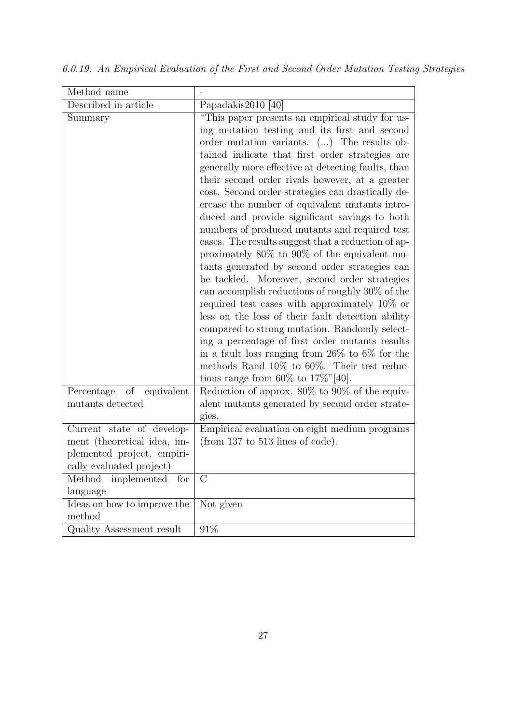| Method name                 |                                                      |
|-----------------------------|------------------------------------------------------|
| Described in article        | Papadakis2010 [40]                                   |
| Summary                     | "This paper presents an empirical study for us-      |
|                             | ing mutation testing and its first and second        |
|                             | order mutation variants. () The results ob-          |
|                             | tained indicate that first order strategies are      |
|                             | generally more effective at detecting faults, than   |
|                             | their second order rivals however, at a greater      |
|                             | cost. Second order strategies can drastically de-    |
|                             | crease the number of equivalent mutants intro-       |
|                             | duced and provide significant savings to both        |
|                             | numbers of produced mutants and required test        |
|                             | cases. The results suggest that a reduction of ap-   |
|                             | proximately $80\%$ to $90\%$ of the equivalent mu-   |
|                             | tants generated by second order strategies can       |
|                             | be tackled. Moreover, second order strategies        |
|                             | can accomplish reductions of roughly 30% of the      |
|                             | required test cases with approximately $10\%$ or     |
|                             | less on the loss of their fault detection ability    |
|                             | compared to strong mutation. Randomly select-        |
|                             | ing a percentage of first order mutants results      |
|                             | in a fault loss ranging from $26\%$ to $6\%$ for the |
|                             | methods Rand 10% to 60%. Their test reduc-           |
|                             | tions range from 60\% to 17\%\"\empty" [40].         |
| Percentage of<br>equivalent | Reduction of approx. $80\%$ to $90\%$ of the equiv-  |
| mutants detected            | alent mutants generated by second order strate-      |
|                             | gies.                                                |
| Current state of develop-   | Empirical evaluation on eight medium programs        |
| ment (theoretical idea, im- | (from $137$ to $513$ lines of code).                 |
| plemented project, empiri-  |                                                      |
| cally evaluated project)    |                                                      |
| Method implemented for      | $\mathcal{C}$                                        |
| language                    |                                                      |
| Ideas on how to improve the | Not given                                            |
| method                      |                                                      |
| Quality Assessment result   | $91\%$                                               |

6.0.19. An Empirical Evaluation of the First and Second Order Mutation Testing Strategies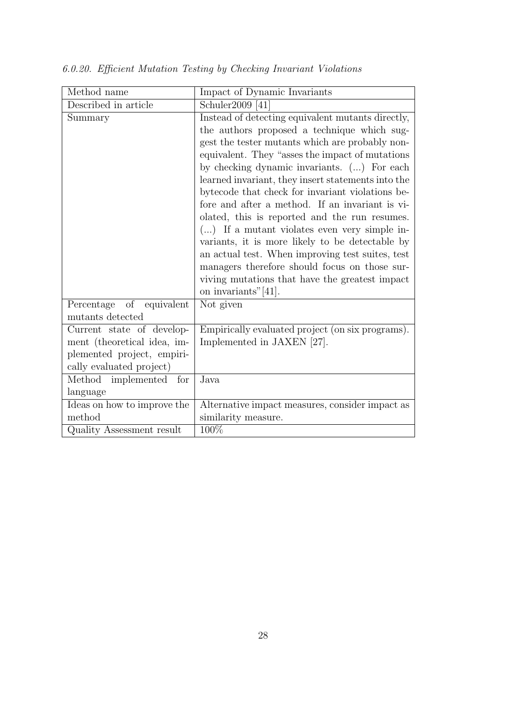| Method name                 | Impact of Dynamic Invariants                                          |
|-----------------------------|-----------------------------------------------------------------------|
| Described in article        | Schuler2009 [41]                                                      |
| Summary                     | Instead of detecting equivalent mutants directly,                     |
|                             | the authors proposed a technique which sug-                           |
|                             | gest the tester mutants which are probably non-                       |
|                             | equivalent. They "asses the impact of mutations"                      |
|                             | by checking dynamic invariants. () For each                           |
|                             | learned invariant, they insert statements into the                    |
|                             | bytecode that check for invariant violations be-                      |
|                             | fore and after a method. If an invariant is vi-                       |
|                             | olated, this is reported and the run resumes.                         |
|                             | $()$ If a mutant violates even very simple in-                        |
|                             | variants, it is more likely to be detectable by                       |
|                             | an actual test. When improving test suites, test                      |
|                             | managers therefore should focus on those sur-                         |
|                             | viving mutations that have the greatest impact<br>on invariants"[41]. |
| Percentage of equivalent    | Not given                                                             |
| mutants detected            |                                                                       |
| Current state of develop-   | Empirically evaluated project (on six programs).                      |
| ment (theoretical idea, im- | Implemented in JAXEN [27].                                            |
| plemented project, empiri-  |                                                                       |
| cally evaluated project)    |                                                                       |
| Method implemented for      | Java                                                                  |
| language                    |                                                                       |
| Ideas on how to improve the | Alternative impact measures, consider impact as                       |
| method                      | similarity measure.                                                   |
| Quality Assessment result   | 100%                                                                  |

6.0.20. Efficient Mutation Testing by Checking Invariant Violations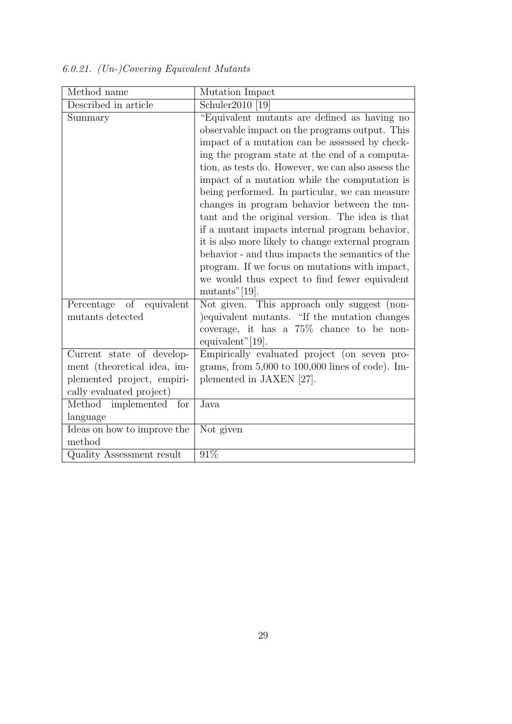| Method name                 | Mutation Impact                                                                                |
|-----------------------------|------------------------------------------------------------------------------------------------|
| Described in article        | Schuler2010 [19]                                                                               |
| Summary                     | "Equivalent mutants are defined as having no<br>observable impact on the programs output. This |
|                             | impact of a mutation can be assessed by check-                                                 |
|                             | ing the program state at the end of a computa-                                                 |
|                             | tion, as tests do. However, we can also assess the                                             |
|                             | impact of a mutation while the computation is                                                  |
|                             | being performed. In particular, we can measure                                                 |
|                             | changes in program behavior between the mu-                                                    |
|                             | tant and the original version. The idea is that                                                |
|                             | if a mutant impacts internal program behavior,                                                 |
|                             | it is also more likely to change external program                                              |
|                             | behavior - and thus impacts the semantics of the                                               |
|                             | program. If we focus on mutations with impact,                                                 |
|                             | we would thus expect to find fewer equivalent                                                  |
|                             | $mutants"$ [19].                                                                               |
| Percentage of<br>equivalent | Not given. This approach only suggest (non-                                                    |
| mutants detected            | equivalent mutants. "If the mutation changes                                                   |
|                             | coverage, it has a $75\%$ chance to be non-<br>equivalent" $[19]$ .                            |
| Current state of develop-   | Empirically evaluated project (on seven pro-                                                   |
| ment (theoretical idea, im- | grams, from $5,000$ to $100,000$ lines of code). Im-                                           |
| plemented project, empiri-  | plemented in JAXEN [27].                                                                       |
| cally evaluated project)    |                                                                                                |
| Method implemented for      | Java                                                                                           |
| language                    |                                                                                                |
| Ideas on how to improve the | Not given                                                                                      |
| method                      |                                                                                                |
| Quality Assessment result   | $91\%$                                                                                         |

6.0.21. (Un-)Covering Equivalent Mutants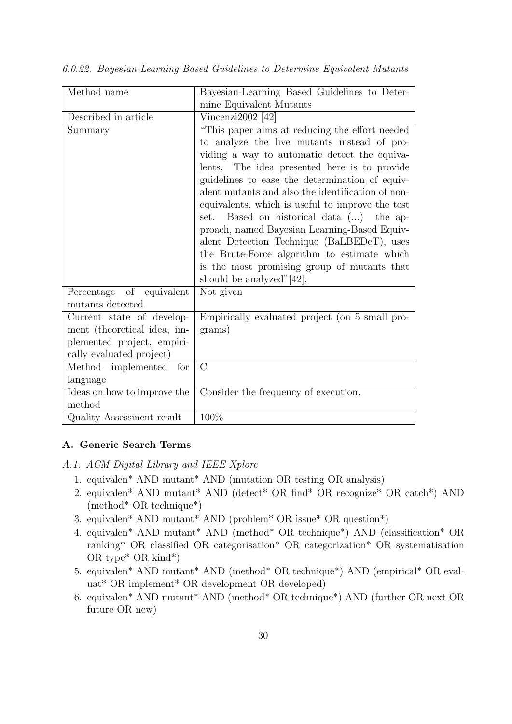| Method name                 | Bayesian-Learning Based Guidelines to Deter-      |
|-----------------------------|---------------------------------------------------|
|                             | mine Equivalent Mutants                           |
| Described in article        | Vincenzi $2002$ [42]                              |
| Summary                     | "This paper aims at reducing the effort needed    |
|                             | to analyze the live mutants instead of pro-       |
|                             | viding a way to automatic detect the equiva-      |
|                             | lents. The idea presented here is to provide      |
|                             | guidelines to ease the determination of equiv-    |
|                             | alent mutants and also the identification of non- |
|                             | equivalents, which is useful to improve the test  |
|                             | set. Based on historical data () the ap-          |
|                             | proach, named Bayesian Learning-Based Equiv-      |
|                             | alent Detection Technique (BaLBEDeT), uses        |
|                             | the Brute-Force algorithm to estimate which       |
|                             | is the most promising group of mutants that       |
|                             | should be analyzed" $[42]$ .                      |
| Percentage of equivalent    | Not given                                         |
| mutants detected            |                                                   |
| Current state of develop-   | Empirically evaluated project (on 5 small pro-    |
| ment (theoretical idea, im- | grams)                                            |
| plemented project, empiri-  |                                                   |
| cally evaluated project)    |                                                   |
| Method implemented for      | $\rm C$                                           |
| language                    |                                                   |
| Ideas on how to improve the | Consider the frequency of execution.              |
| method                      |                                                   |
| Quality Assessment result   | 100%                                              |

6.0.22. Bayesian-Learning Based Guidelines to Determine Equivalent Mutants

# A. Generic Search Terms

- A.1. ACM Digital Library and IEEE Xplore
	- 1. equivalen\* AND mutant\* AND (mutation OR testing OR analysis)
	- 2. equivalen\* AND mutant\* AND (detect\* OR find\* OR recognize\* OR catch\*) AND (method\* OR technique\*)
	- 3. equivalen\* AND mutant\* AND (problem\* OR issue\* OR question\*)
	- 4. equivalen\* AND mutant\* AND (method\* OR technique\*) AND (classification\* OR ranking\* OR classified OR categorisation\* OR categorization\* OR systematisation OR type\* OR kind\*)
	- 5. equivalen\* AND mutant\* AND (method\* OR technique\*) AND (empirical\* OR evaluat\* OR implement\* OR development OR developed)
	- 6. equivalen\* AND mutant\* AND (method\* OR technique\*) AND (further OR next OR future OR new)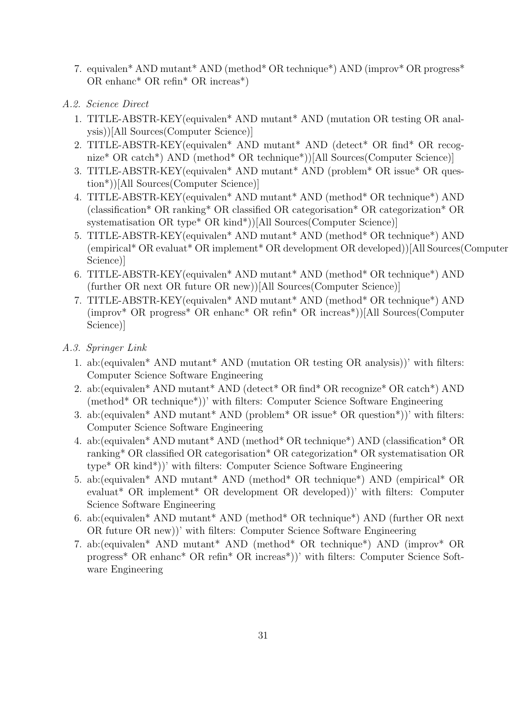- 7. equivalen\* AND mutant\* AND (method\* OR technique\*) AND (improv\* OR progress\* OR enhanc\* OR refin\* OR increas\*)
- A.2. Science Direct
	- 1. TITLE-ABSTR-KEY(equivalen\* AND mutant\* AND (mutation OR testing OR analysis))[All Sources(Computer Science)]
	- 2. TITLE-ABSTR-KEY(equivalen\* AND mutant\* AND (detect\* OR find\* OR recognize\* OR catch\*) AND (method\* OR technique\*))[All Sources(Computer Science)]
	- 3. TITLE-ABSTR-KEY(equivalen\* AND mutant\* AND (problem\* OR issue\* OR question\*))[All Sources(Computer Science)]
	- 4. TITLE-ABSTR-KEY(equivalen\* AND mutant\* AND (method\* OR technique\*) AND (classification\* OR ranking\* OR classified OR categorisation\* OR categorization\* OR systematisation OR type\* OR kind\*))[All Sources(Computer Science)]
	- 5. TITLE-ABSTR-KEY(equivalen\* AND mutant\* AND (method\* OR technique\*) AND (empirical\* OR evaluat\* OR implement\* OR development OR developed))[All Sources(Computer Science)]
	- 6. TITLE-ABSTR-KEY(equivalen\* AND mutant\* AND (method\* OR technique\*) AND (further OR next OR future OR new))[All Sources(Computer Science)]
	- 7. TITLE-ABSTR-KEY(equivalen\* AND mutant\* AND (method\* OR technique\*) AND (improv\* OR progress\* OR enhanc\* OR refin\* OR increas\*))[All Sources(Computer Science)]
- A.3. Springer Link
	- 1. ab:(equivalen\* AND mutant\* AND (mutation OR testing OR analysis))' with filters: Computer Science Software Engineering
	- 2. ab:(equivalen\* AND mutant\* AND (detect\* OR find\* OR recognize\* OR catch\*) AND (method\* OR technique\*))' with filters: Computer Science Software Engineering
	- 3. ab:(equivalen\* AND mutant\* AND (problem\* OR issue\* OR question\*))' with filters: Computer Science Software Engineering
	- 4. ab:(equivalen\* AND mutant\* AND (method\* OR technique\*) AND (classification\* OR ranking\* OR classified OR categorisation\* OR categorization\* OR systematisation OR type\* OR kind\*))' with filters: Computer Science Software Engineering
	- 5. ab:(equivalen\* AND mutant\* AND (method\* OR technique\*) AND (empirical\* OR evaluat\* OR implement\* OR development OR developed))' with filters: Computer Science Software Engineering
	- 6. ab:(equivalen\* AND mutant\* AND (method\* OR technique\*) AND (further OR next OR future OR new))' with filters: Computer Science Software Engineering
	- 7. ab:(equivalen\* AND mutant\* AND (method\* OR technique\*) AND (improv\* OR progress\* OR enhanc\* OR refin\* OR increas\*))' with filters: Computer Science Software Engineering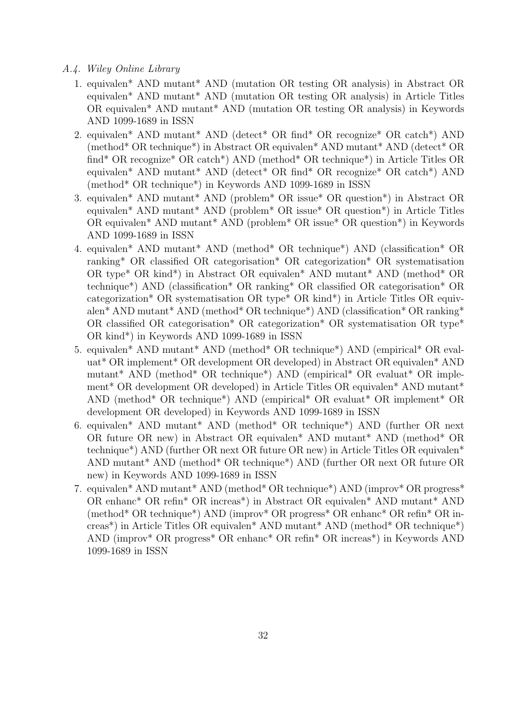- A.4. Wiley Online Library
	- 1. equivalen\* AND mutant\* AND (mutation OR testing OR analysis) in Abstract OR equivalen\* AND mutant\* AND (mutation OR testing OR analysis) in Article Titles OR equivalen\* AND mutant\* AND (mutation OR testing OR analysis) in Keywords AND 1099-1689 in ISSN
	- 2. equivalen\* AND mutant\* AND (detect\* OR find\* OR recognize\* OR catch\*) AND (method\* OR technique\*) in Abstract OR equivalen\* AND mutant\* AND (detect\* OR find\* OR recognize\* OR catch\*) AND (method\* OR technique\*) in Article Titles OR equivalen\* AND mutant\* AND (detect\* OR find\* OR recognize\* OR catch\*) AND (method\* OR technique\*) in Keywords AND 1099-1689 in ISSN
	- 3. equivalen\* AND mutant\* AND (problem\* OR issue\* OR question\*) in Abstract OR equivalen\* AND mutant\* AND (problem\* OR issue\* OR question\*) in Article Titles OR equivalen\* AND mutant\* AND (problem\* OR issue\* OR question\*) in Keywords AND 1099-1689 in ISSN
	- 4. equivalen\* AND mutant\* AND (method\* OR technique\*) AND (classification\* OR ranking\* OR classified OR categorisation\* OR categorization\* OR systematisation OR type\* OR kind\*) in Abstract OR equivalen\* AND mutant\* AND (method\* OR technique\*) AND (classification\* OR ranking\* OR classified OR categorisation\* OR categorization\* OR systematisation OR type\* OR kind\*) in Article Titles OR equivalen\* AND mutant\* AND (method\* OR technique\*) AND (classification\* OR ranking\* OR classified OR categorisation\* OR categorization\* OR systematisation OR type\* OR kind\*) in Keywords AND 1099-1689 in ISSN
	- 5. equivalen\* AND mutant\* AND (method\* OR technique\*) AND (empirical\* OR evaluat\* OR implement\* OR development OR developed) in Abstract OR equivalen\* AND mutant\* AND (method\* OR technique\*) AND (empirical\* OR evaluat\* OR implement\* OR development OR developed) in Article Titles OR equivalen\* AND mutant\* AND (method\* OR technique\*) AND (empirical\* OR evaluat\* OR implement\* OR development OR developed) in Keywords AND 1099-1689 in ISSN
	- 6. equivalen\* AND mutant\* AND (method\* OR technique\*) AND (further OR next OR future OR new) in Abstract OR equivalen\* AND mutant\* AND (method\* OR technique\*) AND (further OR next OR future OR new) in Article Titles OR equivalen\* AND mutant\* AND (method\* OR technique\*) AND (further OR next OR future OR new) in Keywords AND 1099-1689 in ISSN
	- 7. equivalen\* AND mutant\* AND (method\* OR technique\*) AND (improv\* OR progress\* OR enhanc\* OR refin\* OR increas\*) in Abstract OR equivalen\* AND mutant\* AND (method\* OR technique\*) AND (improv\* OR progress\* OR enhanc\* OR refin\* OR increas\*) in Article Titles OR equivalen\* AND mutant\* AND (method\* OR technique\*) AND (improv\* OR progress\* OR enhanc\* OR refin\* OR increas\*) in Keywords AND 1099-1689 in ISSN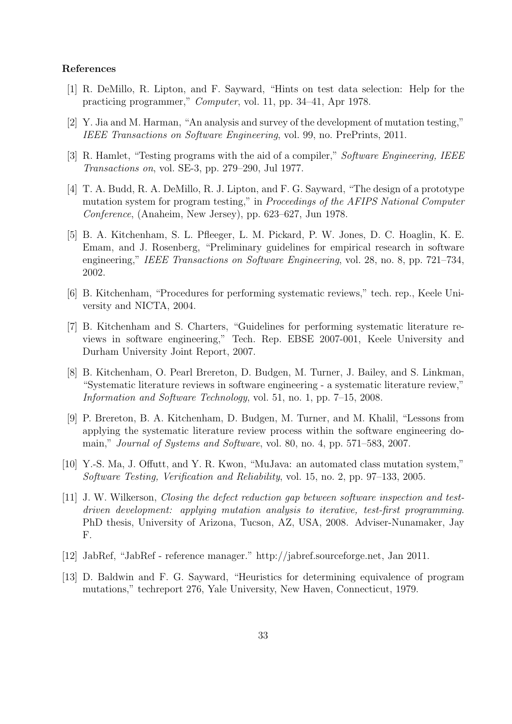#### References

- [1] R. DeMillo, R. Lipton, and F. Sayward, "Hints on test data selection: Help for the practicing programmer," Computer, vol. 11, pp. 34–41, Apr 1978.
- [2] Y. Jia and M. Harman, "An analysis and survey of the development of mutation testing," IEEE Transactions on Software Engineering, vol. 99, no. PrePrints, 2011.
- [3] R. Hamlet, "Testing programs with the aid of a compiler," Software Engineering, IEEE Transactions on, vol. SE-3, pp. 279–290, Jul 1977.
- [4] T. A. Budd, R. A. DeMillo, R. J. Lipton, and F. G. Sayward, "The design of a prototype mutation system for program testing," in Proceedings of the AFIPS National Computer Conference, (Anaheim, New Jersey), pp. 623–627, Jun 1978.
- [5] B. A. Kitchenham, S. L. Pfleeger, L. M. Pickard, P. W. Jones, D. C. Hoaglin, K. E. Emam, and J. Rosenberg, "Preliminary guidelines for empirical research in software engineering," IEEE Transactions on Software Engineering, vol. 28, no. 8, pp. 721–734, 2002.
- [6] B. Kitchenham, "Procedures for performing systematic reviews," tech. rep., Keele University and NICTA, 2004.
- [7] B. Kitchenham and S. Charters, "Guidelines for performing systematic literature reviews in software engineering," Tech. Rep. EBSE 2007-001, Keele University and Durham University Joint Report, 2007.
- [8] B. Kitchenham, O. Pearl Brereton, D. Budgen, M. Turner, J. Bailey, and S. Linkman, "Systematic literature reviews in software engineering - a systematic literature review," Information and Software Technology, vol. 51, no. 1, pp. 7–15, 2008.
- [9] P. Brereton, B. A. Kitchenham, D. Budgen, M. Turner, and M. Khalil, "Lessons from applying the systematic literature review process within the software engineering domain," Journal of Systems and Software, vol. 80, no. 4, pp. 571–583, 2007.
- [10] Y.-S. Ma, J. Offutt, and Y. R. Kwon, "MuJava: an automated class mutation system," Software Testing, Verification and Reliability, vol. 15, no. 2, pp. 97–133, 2005.
- [11] J. W. Wilkerson, Closing the defect reduction gap between software inspection and testdriven development: applying mutation analysis to iterative, test-first programming. PhD thesis, University of Arizona, Tucson, AZ, USA, 2008. Adviser-Nunamaker, Jay F.
- [12] JabRef, "JabRef reference manager." http://jabref.sourceforge.net, Jan 2011.
- [13] D. Baldwin and F. G. Sayward, "Heuristics for determining equivalence of program mutations," techreport 276, Yale University, New Haven, Connecticut, 1979.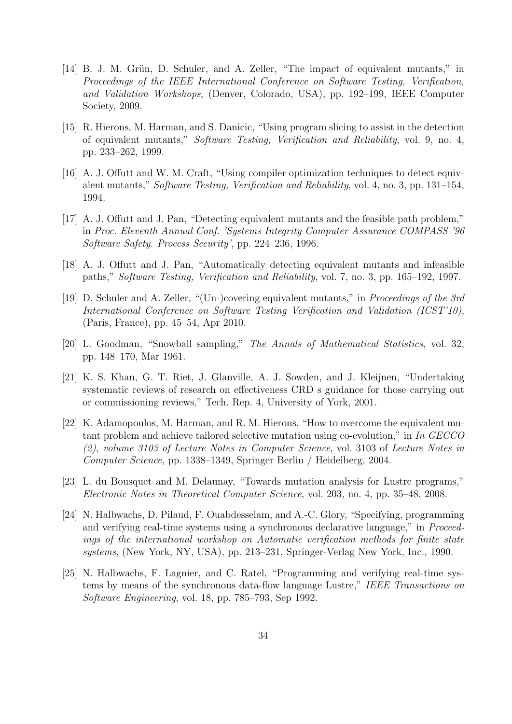- [14] B. J. M. Grün, D. Schuler, and A. Zeller, "The impact of equivalent mutants," in Proceedings of the IEEE International Conference on Software Testing, Verification, and Validation Workshops, (Denver, Colorado, USA), pp. 192–199, IEEE Computer Society, 2009.
- [15] R. Hierons, M. Harman, and S. Danicic, "Using program slicing to assist in the detection of equivalent mutants," Software Testing, Verification and Reliability, vol. 9, no. 4, pp. 233–262, 1999.
- [16] A. J. Offutt and W. M. Craft, "Using compiler optimization techniques to detect equivalent mutants," Software Testing, Verification and Reliability, vol. 4, no. 3, pp. 131–154, 1994.
- [17] A. J. Offutt and J. Pan, "Detecting equivalent mutants and the feasible path problem," in Proc. Eleventh Annual Conf. 'Systems Integrity Computer Assurance COMPASS '96 Software Safety. Process Security', pp. 224–236, 1996.
- [18] A. J. Offutt and J. Pan, "Automatically detecting equivalent mutants and infeasible paths," Software Testing, Verification and Reliability, vol. 7, no. 3, pp. 165–192, 1997.
- [19] D. Schuler and A. Zeller, "(Un-)covering equivalent mutants," in Proceedings of the 3rd International Conference on Software Testing Verification and Validation (ICST'10), (Paris, France), pp. 45–54, Apr 2010.
- [20] L. Goodman, "Snowball sampling," The Annals of Mathematical Statistics, vol. 32, pp. 148–170, Mar 1961.
- [21] K. S. Khan, G. T. Riet, J. Glanville, A. J. Sowden, and J. Kleijnen, "Undertaking systematic reviews of research on effectiveness CRD s guidance for those carrying out or commissioning reviews," Tech. Rep. 4, University of York, 2001.
- [22] K. Adamopoulos, M. Harman, and R. M. Hierons, "How to overcome the equivalent mutant problem and achieve tailored selective mutation using co-evolution," in In GECCO (2), volume 3103 of Lecture Notes in Computer Science, vol. 3103 of Lecture Notes in Computer Science, pp. 1338–1349, Springer Berlin / Heidelberg, 2004.
- [23] L. du Bousquet and M. Delaunay, "Towards mutation analysis for Lustre programs," Electronic Notes in Theoretical Computer Science, vol. 203, no. 4, pp. 35–48, 2008.
- [24] N. Halbwachs, D. Pilaud, F. Ouabdesselam, and A.-C. Glory, "Specifying, programming and verifying real-time systems using a synchronous declarative language," in Proceedings of the international workshop on Automatic verification methods for finite state systems, (New York, NY, USA), pp. 213–231, Springer-Verlag New York, Inc., 1990.
- [25] N. Halbwachs, F. Lagnier, and C. Ratel, "Programming and verifying real-time systems by means of the synchronous data-flow language Lustre," IEEE Transactions on Software Engineering, vol. 18, pp. 785–793, Sep 1992.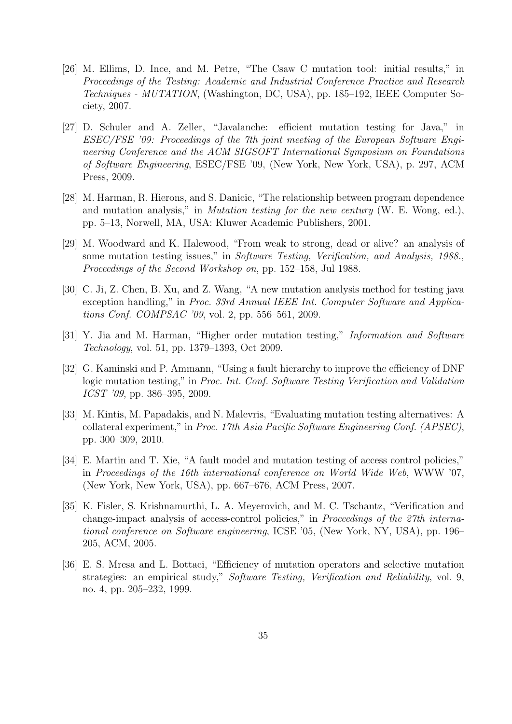- [26] M. Ellims, D. Ince, and M. Petre, "The Csaw C mutation tool: initial results," in Proceedings of the Testing: Academic and Industrial Conference Practice and Research Techniques - MUTATION, (Washington, DC, USA), pp. 185–192, IEEE Computer Society, 2007.
- [27] D. Schuler and A. Zeller, "Javalanche: efficient mutation testing for Java," in ESEC/FSE '09: Proceedings of the 7th joint meeting of the European Software Engineering Conference and the ACM SIGSOFT International Symposium on Foundations of Software Engineering, ESEC/FSE '09, (New York, New York, USA), p. 297, ACM Press, 2009.
- [28] M. Harman, R. Hierons, and S. Danicic, "The relationship between program dependence and mutation analysis," in *Mutation testing for the new century* (W. E. Wong, ed.), pp. 5–13, Norwell, MA, USA: Kluwer Academic Publishers, 2001.
- [29] M. Woodward and K. Halewood, "From weak to strong, dead or alive? an analysis of some mutation testing issues," in Software Testing, Verification, and Analysis, 1988., Proceedings of the Second Workshop on, pp. 152–158, Jul 1988.
- [30] C. Ji, Z. Chen, B. Xu, and Z. Wang, "A new mutation analysis method for testing java exception handling," in Proc. 33rd Annual IEEE Int. Computer Software and Applications Conf. COMPSAC '09, vol. 2, pp. 556–561, 2009.
- [31] Y. Jia and M. Harman, "Higher order mutation testing," *Information and Software* Technology, vol. 51, pp. 1379–1393, Oct 2009.
- [32] G. Kaminski and P. Ammann, "Using a fault hierarchy to improve the efficiency of DNF logic mutation testing," in Proc. Int. Conf. Software Testing Verification and Validation ICST '09, pp. 386–395, 2009.
- [33] M. Kintis, M. Papadakis, and N. Malevris, "Evaluating mutation testing alternatives: A collateral experiment," in Proc. 17th Asia Pacific Software Engineering Conf. (APSEC), pp. 300–309, 2010.
- [34] E. Martin and T. Xie, "A fault model and mutation testing of access control policies," in Proceedings of the 16th international conference on World Wide Web, WWW '07, (New York, New York, USA), pp. 667–676, ACM Press, 2007.
- [35] K. Fisler, S. Krishnamurthi, L. A. Meyerovich, and M. C. Tschantz, "Verification and change-impact analysis of access-control policies," in Proceedings of the 27th international conference on Software engineering, ICSE '05, (New York, NY, USA), pp. 196– 205, ACM, 2005.
- [36] E. S. Mresa and L. Bottaci, "Efficiency of mutation operators and selective mutation strategies: an empirical study," Software Testing, Verification and Reliability, vol. 9, no. 4, pp. 205–232, 1999.